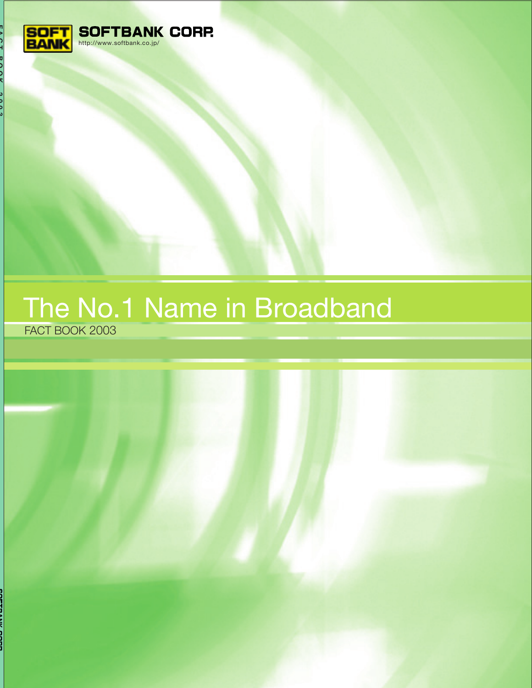

# The No.1 Name in Broadband FACT BOOK 2003

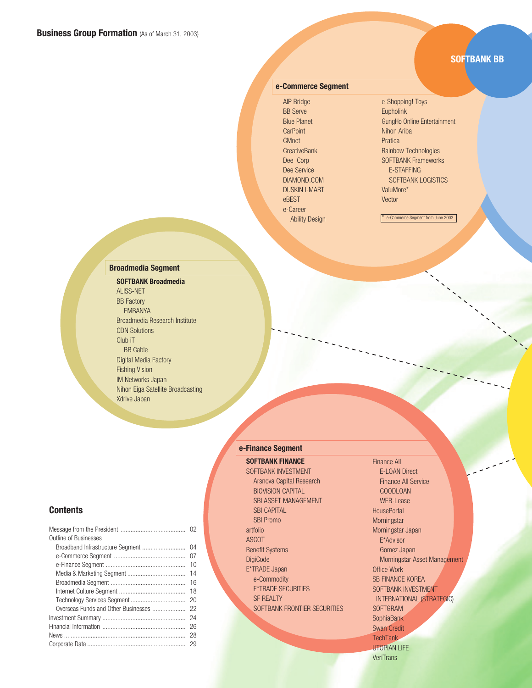## **SOFTBANK BB**

#### **e-Commerce Segment**

AIP Bridge BB Serve Blue Planet **CarPoint** CMnet **CreativeBank** Dee Corp Dee Service DIAMOND.COM DUSKIN I-MART eBEST e-Career Ability Design e-Shopping! Toys **Eupholink** GungHo Online Entertainment Nihon Ariba Pratica Rainbow Technologies SOFTBANK Frameworks E-STAFFING SOFTBANK LOGISTICS ValuMore\* Vector

\* e-Commerce Segment from June 2003

### **Broadmedia Segment**

**SOFTBANK Broadmedia** ALISS-NET BB Factory EMBANYA Broadmedia Research Institute CDN Solutions Club iT BB Cable Digital Media Factory Fishing Vision IM Networks Japan Nihon Eiga Satellite Broadcasting Xdrive Japan

### **e-Finance Segment**

**SOFTBANK FINANCE**

SOFTBANK INVESTMENT Arsnova Capital Research BIOVISION CAPITAL SBI ASSET MANAGEMENT **SBI CAPITAL** SBI Promo artfolio ASCOT Benefit Systems **DigiCode** E\*TRADE Japan e-Commodity E\*TRADE SECURITIES SF REALTY SOFTBANK FRONTIER SECURITIES Finance All E-LOAN Direct Finance All Service GOODLOAN WEB-Lease **HousePortal Morningstar** Morningstar Japan E\*Advisor Gomez Japan Morningstar Asset Management Office Work SB FINANCE KOREA SOFTBANK INVESTMENT INTERNATIONAL (STRATEGIC) SOFTGRAM **SophiaBank** Swan Credit **TechTank** UTOPIAN LIFE **VeriTrans** 

### **Contents**

| <b>Outline of Businesses</b>        |    |
|-------------------------------------|----|
|                                     |    |
|                                     | 07 |
|                                     | 10 |
|                                     | 14 |
|                                     | 16 |
|                                     | 18 |
|                                     | 20 |
| Overseas Funds and Other Businesses | 22 |
|                                     | 24 |
|                                     | 26 |
|                                     | 28 |
|                                     |    |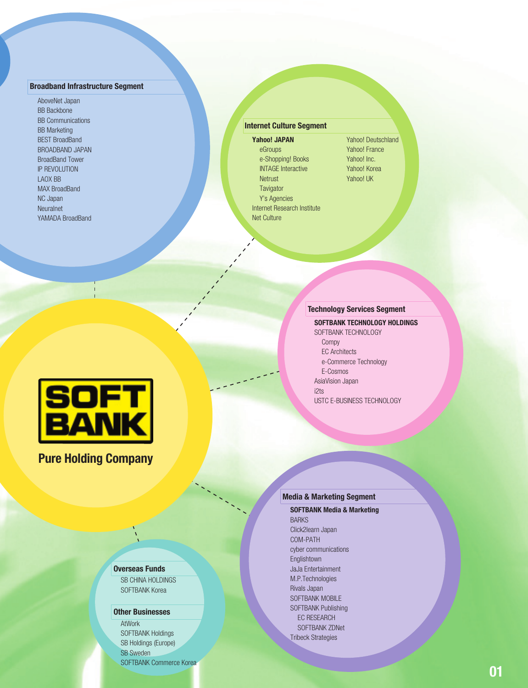#### **Broadband Infrastructure Segment**

AboveNet Japan BB Backbone BB Communications BB Marketing BEST BroadBand BROADBAND JAPAN BroadBand Tower IP REVOLUTION LAOX BB MAX BroadBand NC Japan Neuralnet YAMADA BroadBand

**Yahoo! JAPAN** eGroups e-Shopping! Books INTAGE Interactive **Netrust Tavigator** Y's Agencies Internet Research Institute Net Culture

Yahoo! Deutschland Yahoo! France Yahoo! Inc. Yahoo! Korea Yahoo! UK

### **Technology Services Segment**

**SOFTBANK TECHNOLOGY HOLDINGS** SOFTBANK TECHNOLOGY Compy EC Architects e-Commerce Technology E-Cosmos AsiaVision Japan i2ts USTC E-BUSINESS TECHNOLOGY



# **Pure Holding Company**

### **Overseas Funds**

**SB CHINA HOLDINGS** SOFTBANK Korea

#### **Other Businesses**

**AtWork** SOFTBANK Holdings SB Holdings (Europe) SB Sweden SOFTBANK Commerce Korea

## **Media & Marketing Segment**

**SOFTBANK Media & Marketing BARKS** Click2learn Japan COM-PATH cyber communications Englishtown JaJa Entertainment M.P.Technologies Rivals Japan SOFTBANK MOBILE SOFTBANK Publishing EC RESEARCH SOFTBANK ZDNet Tribeck Strategies **Internet Culture Segment**<br> **Marine Culture Culture Culture Culture Culture Culture Culture Culture Culture Culture Culture Culture Culture Culture Culture Culture Culture Culture Culture Culture Culture Culture Culture Cu**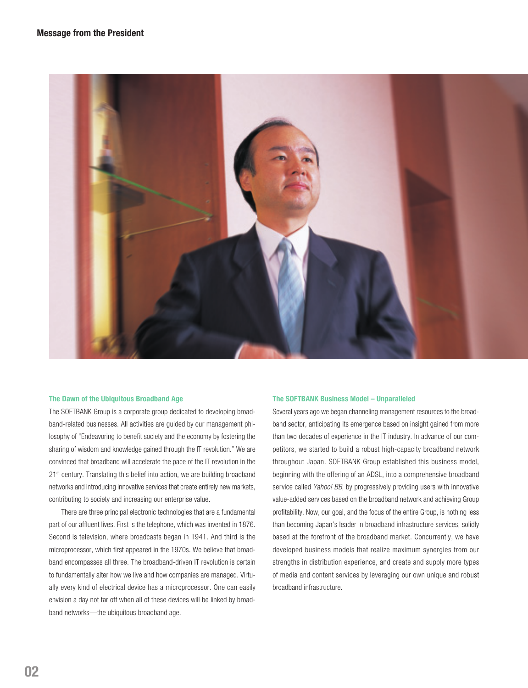

#### **The Dawn of the Ubiquitous Broadband Age**

The SOFTBANK Group is a corporate group dedicated to developing broadband-related businesses. All activities are guided by our management philosophy of "Endeavoring to benefit society and the economy by fostering the sharing of wisdom and knowledge gained through the IT revolution." We are convinced that broadband will accelerate the pace of the IT revolution in the 21<sup>st</sup> century. Translating this belief into action, we are building broadband networks and introducing innovative services that create entirely new markets, contributing to society and increasing our enterprise value.

There are three principal electronic technologies that are a fundamental part of our affluent lives. First is the telephone, which was invented in 1876. Second is television, where broadcasts began in 1941. And third is the microprocessor, which first appeared in the 1970s. We believe that broadband encompasses all three. The broadband-driven IT revolution is certain to fundamentally alter how we live and how companies are managed. Virtually every kind of electrical device has a microprocessor. One can easily envision a day not far off when all of these devices will be linked by broadband networks—the ubiquitous broadband age.

#### **The SOFTBANK Business Model – Unparalleled**

Several years ago we began channeling management resources to the broadband sector, anticipating its emergence based on insight gained from more than two decades of experience in the IT industry. In advance of our competitors, we started to build a robust high-capacity broadband network throughout Japan. SOFTBANK Group established this business model, beginning with the offering of an ADSL, into a comprehensive broadband service called Yahoo! BB, by progressively providing users with innovative value-added services based on the broadband network and achieving Group profitability. Now, our goal, and the focus of the entire Group, is nothing less than becoming Japan's leader in broadband infrastructure services, solidly based at the forefront of the broadband market. Concurrently, we have developed business models that realize maximum synergies from our strengths in distribution experience, and create and supply more types of media and content services by leveraging our own unique and robust broadband infrastructure.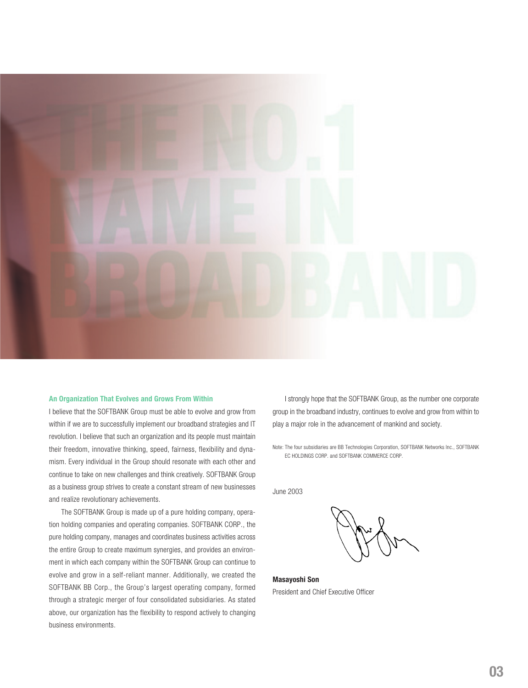

#### **An Organization That Evolves and Grows From Within**

I believe that the SOFTBANK Group must be able to evolve and grow from within if we are to successfully implement our broadband strategies and IT revolution. I believe that such an organization and its people must maintain their freedom, innovative thinking, speed, fairness, flexibility and dynamism. Every individual in the Group should resonate with each other and continue to take on new challenges and think creatively. SOFTBANK Group as a business group strives to create a constant stream of new businesses and realize revolutionary achievements.

The SOFTBANK Group is made up of a pure holding company, operation holding companies and operating companies. SOFTBANK CORP., the pure holding company, manages and coordinates business activities across the entire Group to create maximum synergies, and provides an environment in which each company within the SOFTBANK Group can continue to evolve and grow in a self-reliant manner. Additionally, we created the SOFTBANK BB Corp., the Group's largest operating company, formed through a strategic merger of four consolidated subsidiaries. As stated above, our organization has the flexibility to respond actively to changing business environments.

I strongly hope that the SOFTBANK Group, as the number one corporate group in the broadband industry, continues to evolve and grow from within to play a major role in the advancement of mankind and society.

Note: The four subsidiaries are BB Technologies Corporation, SOFTBANK Networks Inc., SOFTBANK EC HOLDINGS CORP. and SOFTBANK COMMERCE CORP.

June 2003

**Masayoshi Son**

President and Chief Executive Officer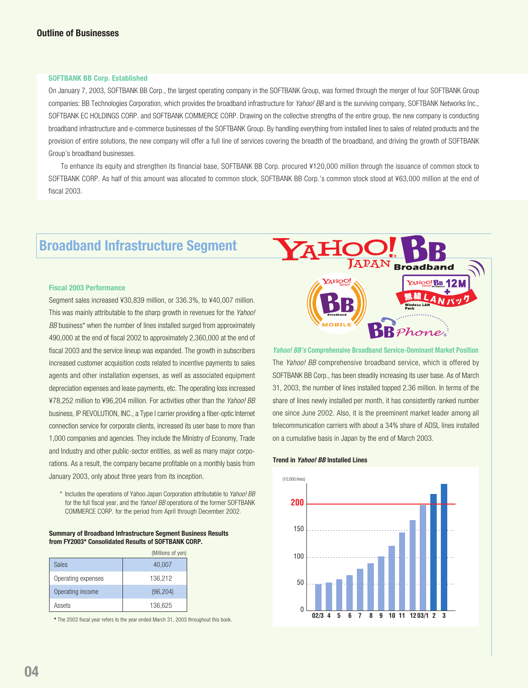#### **SOFTBANK BB Corp. Established**

On January 7, 2003, SOFTBANK BB Corp., the largest operating company in the SOFTBANK Group, was formed through the merger of four SOFTBANK Group companies: BB Technologies Corporation, which provides the broadband infrastructure for Yahoo! BB and is the surviving company, SOFTBANK Networks Inc., SOFTBANK EC HOLDINGS CORP. and SOFTBANK COMMERCE CORP. Drawing on the collective strengths of the entire group, the new company is conducting broadband infrastructure and e-commerce businesses of the SOFTBANK Group. By handling everything from installed lines to sales of related products and the provision of entire solutions, the new company will offer a full line of services covering the breadth of the broadband, and driving the growth of SOFTBANK Group's broadband businesses.

To enhance its equity and strengthen its financial base, SOFTBANK BB Corp. procured ¥120,000 million through the issuance of common stock to SOFTBANK CORP. As half of this amount was allocated to common stock, SOFTBANK BB Corp.'s common stock stood at ¥63,000 million at the end of fiscal 2003.

# **Broadband Infrastructure Segment**

#### **Fiscal 2003 Performance**

Segment sales increased ¥30,839 million, or 336.3%, to ¥40,007 million. This was mainly attributable to the sharp growth in revenues for the Yahoo! BB business<sup>\*</sup> when the number of lines installed surged from approximately 490,000 at the end of fiscal 2002 to approximately 2,360,000 at the end of fiscal 2003 and the service lineup was expanded. The growth in subscribers increased customer acquisition costs related to incentive payments to sales agents and other installation expenses, as well as associated equipment depreciation expenses and lease payments, etc. The operating loss increased ¥78,252 million to ¥96,204 million. For activities other than the Yahoo! BB business, IP REVOLUTION, INC., a Type I carrier providing a fiber-optic Internet connection service for corporate clients, increased its user base to more than 1,000 companies and agencies. They include the Ministry of Economy, Trade and Industry and other public-sector entities, as well as many major corporations. As a result, the company became profitable on a monthly basis from January 2003, only about three years from its inception.

\* Includes the operations of Yahoo Japan Corporation attributable to Yahoo! BB for the full fiscal year, and the Yahoo! BB operations of the former SOFTBANK COMMERCE CORP. for the period from April through December 2002.

#### **Summary of Broadband Infrastructure Segment Business Results from FY2003\* Consolidated Results of SOFTBANK CORP.**

|                    | (Millions of yen) |
|--------------------|-------------------|
| Sales              | 40,007            |
| Operating expenses | 136,212           |
| Operating income   | (96, 204)         |
| Assets             | 136,625           |

**\*** The 2003 fiscal year refers to the year ended March 31, 2003 throughout this book.



**Yahoo! BB's Comprehensive Broadband Service-Dominant Market Position** The *Yahoo! BB* comprehensive broadband service, which is offered by SOFTBANK BB Corp., has been steadily increasing its user base. As of March 31, 2003, the number of lines installed topped 2.36 million. In terms of the share of lines newly installed per month, it has consistently ranked number one since June 2002. Also, it is the preeminent market leader among all telecommunication carriers with about a 34% share of ADSL lines installed on a cumulative basis in Japan by the end of March 2003.

#### **Trend in Yahoo! BB Installed Lines**

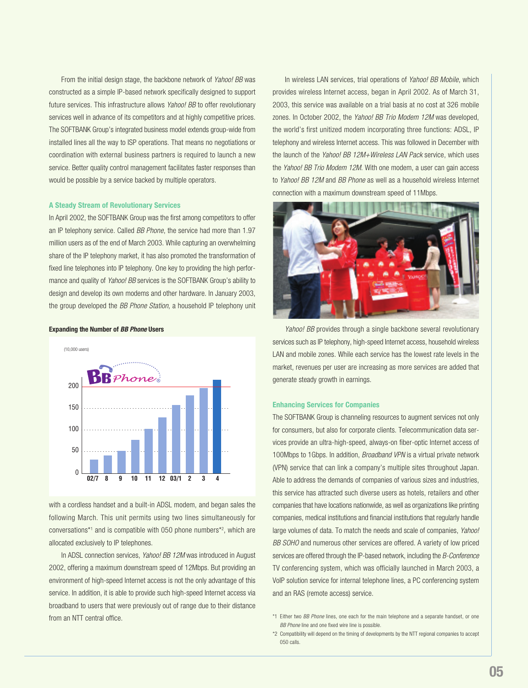From the initial design stage, the backbone network of Yahoo! BB was constructed as a simple IP-based network specifically designed to support future services. This infrastructure allows *Yahoo! BB* to offer revolutionary services well in advance of its competitors and at highly competitive prices. The SOFTBANK Group's integrated business model extends group-wide from installed lines all the way to ISP operations. That means no negotiations or coordination with external business partners is required to launch a new service. Better quality control management facilitates faster responses than would be possible by a service backed by multiple operators.

#### **A Steady Stream of Revolutionary Services**

In April 2002, the SOFTBANK Group was the first among competitors to offer an IP telephony service. Called BB Phone, the service had more than 1.97 million users as of the end of March 2003. While capturing an overwhelming share of the IP telephony market, it has also promoted the transformation of fixed line telephones into IP telephony. One key to providing the high performance and quality of *Yahoo! BB* services is the SOFTBANK Group's ability to design and develop its own modems and other hardware. In January 2003, the group developed the BB Phone Station, a household IP telephony unit

**Expanding the Number of BB Phone Users**



with a cordless handset and a built-in ADSL modem, and began sales the following March. This unit permits using two lines simultaneously for conversations\*1 and is compatible with 050 phone numbers\*2 , which are allocated exclusively to IP telephones.

In ADSL connection services, Yahoo! BB 12M was introduced in August 2002, offering a maximum downstream speed of 12Mbps. But providing an environment of high-speed Internet access is not the only advantage of this service. In addition, it is able to provide such high-speed Internet access via broadband to users that were previously out of range due to their distance from an NTT central office.

In wireless LAN services, trial operations of *Yahoo! BB Mobile*, which provides wireless Internet access, began in April 2002. As of March 31, 2003, this service was available on a trial basis at no cost at 326 mobile zones. In October 2002, the Yahoo! BB Trio Modem 12M was developed, the world's first unitized modem incorporating three functions: ADSL, IP telephony and wireless Internet access. This was followed in December with the launch of the Yahoo! BB 12M+Wireless LAN Pack service, which uses the *Yahoo! BB Trio Modem 12M.* With one modem, a user can gain access to Yahoo! BB 12M and BB Phone as well as a household wireless Internet connection with a maximum downstream speed of 11Mbps.



Yahoo! BB provides through a single backbone several revolutionary services such as IP telephony, high-speed Internet access, household wireless LAN and mobile zones. While each service has the lowest rate levels in the market, revenues per user are increasing as more services are added that generate steady growth in earnings.

#### **Enhancing Services for Companies**

The SOFTBANK Group is channeling resources to augment services not only for consumers, but also for corporate clients. Telecommunication data services provide an ultra-high-speed, always-on fiber-optic Internet access of 100Mbps to 1Gbps. In addition, Broadband VPN is a virtual private network (VPN) service that can link a company's multiple sites throughout Japan. Able to address the demands of companies of various sizes and industries, this service has attracted such diverse users as hotels, retailers and other companies that have locations nationwide, as well as organizations like printing companies, medical institutions and financial institutions that regularly handle large volumes of data. To match the needs and scale of companies, Yahoo! BB SOHO and numerous other services are offered. A variety of low priced services are offered through the IP-based network, including the B-Conference TV conferencing system, which was officially launched in March 2003, a VoIP solution service for internal telephone lines, a PC conferencing system and an RAS (remote access) service.

<sup>\*1</sup> Either two BB Phone lines, one each for the main telephone and a separate handset, or one BB Phone line and one fixed wire line is possible.

<sup>\*2</sup> Compatibility will depend on the timing of developments by the NTT regional companies to accept 050 calls.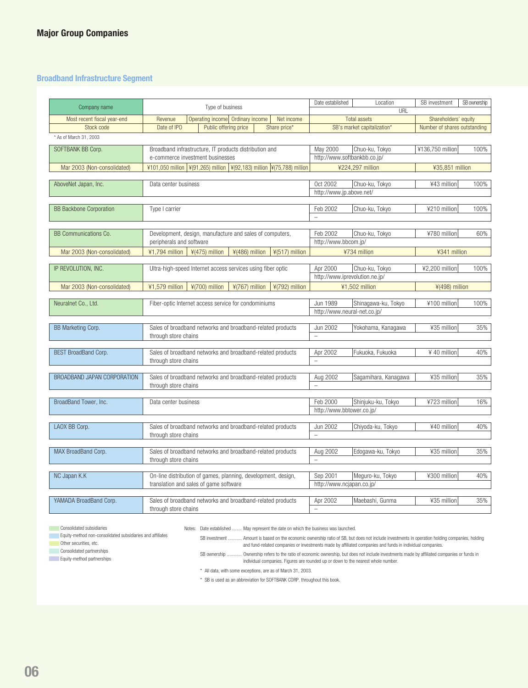## **Broadband Infrastructure Segment**

| Company name                       | Type of business                                                                     |                                                                                            |                | Date established                         | Location<br>URL                                | SB investment                | SB ownership |
|------------------------------------|--------------------------------------------------------------------------------------|--------------------------------------------------------------------------------------------|----------------|------------------------------------------|------------------------------------------------|------------------------------|--------------|
| Most recent fiscal year-end        | Revenue                                                                              | Operating income Ordinary income                                                           | Net income     | <b>Total assets</b>                      |                                                | Shareholders' equity         |              |
| Stock code                         | Date of IPO<br>Public offering price<br>Share price*                                 |                                                                                            |                |                                          | SB's market capitalization*                    | Number of shares outstanding |              |
| * As of March 31, 2003             |                                                                                      |                                                                                            |                |                                          |                                                |                              |              |
| SOFTBANK BB Corp.                  |                                                                                      | Broadband infrastructure, IT products distribution and<br>e-commerce investment businesses |                |                                          | Chuo-ku, Tokyo<br>http://www.softbankbb.co.jp/ | ¥136,750 million             | 100%         |
| Mar 2003 (Non-consolidated)        | ¥101,050 million   ¥(91,265) million   ¥(92,183) million   ¥(75,788) million         |                                                                                            |                |                                          | ¥224,297 million                               | ¥35,851 million              |              |
|                                    |                                                                                      |                                                                                            |                |                                          |                                                |                              |              |
| AboveNet Japan, Inc.               | Data center business                                                                 |                                                                                            |                | Oct 2002<br>http://www.jp.above.net/     | Chuo-ku, Tokyo                                 | ¥43 million                  | 100%         |
| <b>BB Backbone Corporation</b>     | Type I carrier                                                                       |                                                                                            |                | Feb 2002<br>$\overline{a}$               | Chuo-ku, Tokyo                                 | ¥210 million                 | 100%         |
|                                    |                                                                                      |                                                                                            |                |                                          |                                                |                              |              |
| BB Communications Co.              | Development, design, manufacture and sales of computers,<br>peripherals and software |                                                                                            |                | Feb 2002<br>http://www.bbcom.jp/         | Chuo-ku, Tokyo                                 | ¥780 million                 | 60%          |
| Mar 2003 (Non-consolidated)        | $\frac{1}{2}$ 1,794 million $\frac{1}{2}$ (475) million                              | ¥(486) million                                                                             | ¥(517) million |                                          | ¥734 million                                   | ¥341 million                 |              |
|                                    |                                                                                      |                                                                                            |                |                                          |                                                |                              |              |
| IP REVOLUTION, INC.                | Ultra-high-speed Internet access services using fiber optic                          |                                                                                            |                | Apr 2000                                 | Chuo-ku, Tokyo                                 | ¥2,200 million               | 100%         |
|                                    |                                                                                      |                                                                                            |                |                                          | http://www.iprevolution.ne.jp/                 |                              |              |
| Mar 2003 (Non-consolidated)        | ¥1,579 million<br>¥(700) million                                                     | ¥(767) million                                                                             | ¥(792) million |                                          | ¥1,502 million                                 | ¥(498) million               |              |
| Neuralnet Co., Ltd.                | Fiber-optic Internet access service for condominiums                                 |                                                                                            |                | Jun 1989<br>http://www.neural-net.co.jp/ | Shinagawa-ku, Tokyo                            | ¥100 million                 | 100%         |
|                                    |                                                                                      |                                                                                            |                |                                          |                                                |                              |              |
| BB Marketing Corp.                 | Sales of broadband networks and broadband-related products<br>through store chains   |                                                                                            |                | Jun 2002<br>$\overline{a}$               | Yokohama, Kanagawa                             | ¥35 million                  | 35%          |
| BEST BroadBand Corp.               | Sales of broadband networks and broadband-related products                           |                                                                                            |                | Apr 2002                                 | Fukuoka, Fukuoka                               | ¥ 40 million                 | 40%          |
|                                    | through store chains                                                                 |                                                                                            |                | $\equiv$                                 |                                                |                              |              |
|                                    |                                                                                      |                                                                                            |                |                                          |                                                |                              |              |
| <b>BROADBAND JAPAN CORPORATION</b> | Sales of broadband networks and broadband-related products                           |                                                                                            |                | Aug 2002                                 | Sagamihara, Kanagawa                           | ¥35 million                  | 35%          |
|                                    | through store chains                                                                 |                                                                                            |                | $\overline{\phantom{0}}$                 |                                                |                              |              |
| BroadBand Tower, Inc.              | Data center business                                                                 |                                                                                            |                | Feb 2000                                 | Shinjuku-ku, Tokyo                             | ¥723 million                 | 16%          |
|                                    |                                                                                      |                                                                                            |                | http://www.bbtower.co.jp/                |                                                |                              |              |
|                                    |                                                                                      |                                                                                            |                |                                          |                                                |                              |              |
| LAOX BB Corp.                      | Sales of broadband networks and broadband-related products                           |                                                                                            |                | Jun 2002                                 | Chiyoda-ku, Tokyo                              | ¥40 million                  | 40%          |
|                                    | through store chains                                                                 |                                                                                            |                | $\overline{\phantom{0}}$                 |                                                |                              |              |
| MAX BroadBand Corp.                |                                                                                      |                                                                                            |                | Aug 2002                                 | Edogawa-ku, Tokyo                              | ¥35 million                  | 35%          |
|                                    | Sales of broadband networks and broadband-related products<br>through store chains   |                                                                                            | $\bar{ }$      |                                          |                                                |                              |              |
|                                    |                                                                                      |                                                                                            |                |                                          |                                                |                              |              |
| NC Japan K.K                       | On-line distribution of games, planning, development, design,                        |                                                                                            |                | Sep 2001                                 | Meguro-ku, Tokyo                               | ¥300 million                 | 40%          |
|                                    | translation and sales of game software                                               |                                                                                            |                | http://www.ncjapan.co.jp/                |                                                |                              |              |
| YAMADA BroadBand Corp.             | Sales of broadband networks and broadband-related products                           |                                                                                            |                | Apr 2002                                 | Maebashi, Gunma                                | ¥35 million                  | 35%          |
|                                    | through store chains                                                                 |                                                                                            |                | $\overline{\phantom{a}}$                 |                                                |                              |              |

**Consolidated subsidiaries** 

**Equity-method non-consolidated subsidiaries and affiliates** 

**Other securities, etc. Consolidated partnerships** 

Equity-method partnerships

Notes: Date established ........ May represent the date on which the business was launched.

SB investment ........... Amount is based on the economic ownership ratio of SB, but does not include investments in operation holding companies, holding and fund-related companies or investments made by affiliated companies and funds in individual companies.

SB ownership ............ Ownership refers to the ratio of economic ownership, but does not include investments made by affiliated companies or funds in individual companies. Figures are rounded up or down to the nearest whole number.

\* All data, with some exceptions, are as of March 31, 2003.

\* SB is used as an abbreviation for SOFTBANK CORP. throughout this book.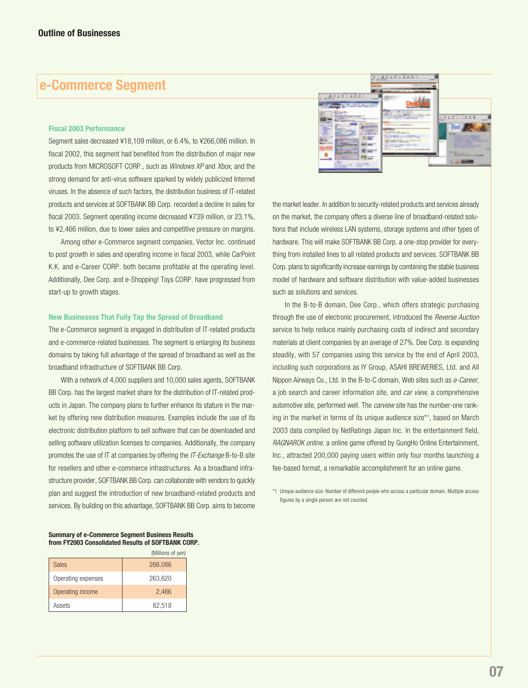# **e-Commerce Segment**

#### **Fiscal 2003 Performance**

Segment sales decreased ¥18,109 million, or 6.4%, to ¥266,086 million. In fiscal 2002, this segment had benefited from the distribution of major new products from MICROSOFT CORP., such as *Windows XP* and *Xbox*, and the strong demand for anti-virus software sparked by widely publicized Internet viruses. In the absence of such factors, the distribution business of IT-related products and services at SOFTBANK BB Corp. recorded a decline in sales for fiscal 2003. Segment operating income decreased ¥739 million, or 23.1%, to ¥2,466 million, due to lower sales and competitive pressure on margins.

Among other e-Commerce segment companies, Vector Inc. continued to post growth in sales and operating income in fiscal 2003, while CarPoint K.K. and e-Career CORP. both became profitable at the operating level. Additionally, Dee Corp. and e-Shopping! Toys CORP, have progressed from start-up to growth stages.

#### **New Businesses That Fully Tap the Spread of Broadband**

The e-Commerce segment is engaged in distribution of IT-related products and e-commerce-related businesses. The segment is enlarging its business domains by taking full advantage of the spread of broadband as well as the broadband infrastructure of SOFTBANK BB Corp.

With a network of 4,000 suppliers and 10,000 sales agents, SOFTBANK BB Corp. has the largest market share for the distribution of IT-related products in Japan. The company plans to further enhance its stature in the market by offering new distribution measures. Examples include the use of its electronic distribution platform to sell software that can be downloaded and selling software utilization licenses to companies. Additionally, the company promotes the use of IT at companies by offering the IT-Exchange B-to-B site for resellers and other e-commerce infrastructures. As a broadband infrastructure provider, SOFTBANK BB Corp. can collaborate with vendors to quickly plan and suggest the introduction of new broadband-related products and services. By building on this advantage, SOFTBANK BB Corp. aims to become



the market leader. In addition to security-related products and services already on the market, the company offers a diverse line of broadband-related solutions that include wireless LAN systems, storage systems and other types of hardware. This will make SOFTBANK BB Corp. a one-stop provider for everything from installed lines to all related products and services. SOFTBANK BB Corp. plans to significantly increase earnings by combining the stable business model of hardware and software distribution with value-added businesses such as solutions and services.

In the B-to-B domain, Dee Corp., which offers strategic purchasing through the use of electronic procurement, introduced the Reverse Auction service to help reduce mainly purchasing costs of indirect and secondary materials at client companies by an average of 27%. Dee Corp. is expanding steadily, with 57 companies using this service by the end of April 2003, including such corporations as IY Group, ASAHI BREWERIES, Ltd. and All Nippon Airways Co., Ltd. In the B-to-C domain, Web sites such as e-Career, a job search and career information site, and car view, a comprehensive automotive site, performed well. The *carview* site has the number-one ranking in the market in terms of its unique audience size\*1 , based on March 2003 data compiled by NetRatings Japan Inc. In the entertainment field, RAGNAROK online, a online game offered by GungHo Online Entertainment, Inc., attracted 200,000 paying users within only four months launching a fee-based format, a remarkable accomplishment for an online game.

\*1 Unique audience size: Number of different people who access a particular domain. Multiple access figures by a single person are not counted.

#### **Summary of e-Commerce Segment Business Results from FY2003 Consolidated Results of SOFTBANK CORP.**

|                    | (Millions of yen) |
|--------------------|-------------------|
| <b>Sales</b>       | 266,086           |
| Operating expenses | 263,620           |
| Operating income   | 2,466             |
| Assets             | 82,518            |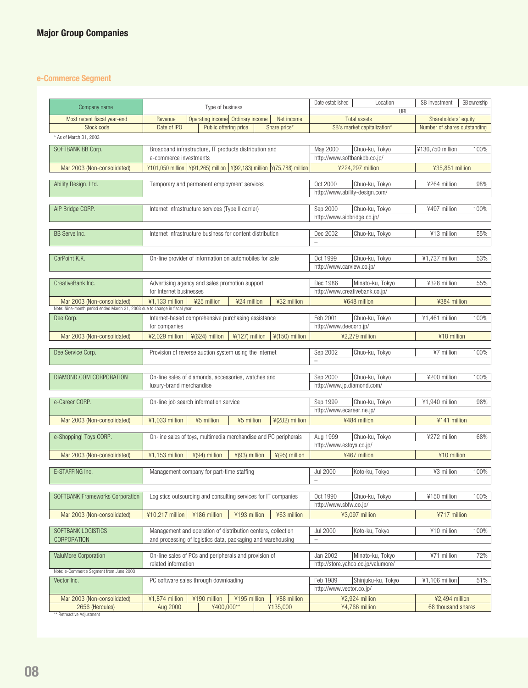# **e-Commerce Segment**

| Company name                                                              |                                                                              | Type of business                                          |                  |                            | Date established                      | Location                                           | SB investment                                        | SB ownership |
|---------------------------------------------------------------------------|------------------------------------------------------------------------------|-----------------------------------------------------------|------------------|----------------------------|---------------------------------------|----------------------------------------------------|------------------------------------------------------|--------------|
|                                                                           |                                                                              |                                                           |                  |                            |                                       | URL                                                |                                                      |              |
| Most recent fiscal year-end<br>Stock code                                 | Revenue<br>Date of IPO                                                       | Operating income Ordinary income<br>Public offering price |                  | Net income<br>Share price* |                                       | <b>Total assets</b><br>SB's market capitalization* | Shareholders' equity<br>Number of shares outstanding |              |
|                                                                           |                                                                              |                                                           |                  |                            |                                       |                                                    |                                                      |              |
| * As of March 31, 2003                                                    |                                                                              |                                                           |                  |                            |                                       |                                                    |                                                      |              |
| SOFTBANK BB Corp.                                                         | Broadband infrastructure, IT products distribution and                       |                                                           |                  |                            | May 2000                              | Chuo-ku, Tokyo                                     | ¥136,750 million                                     | 100%         |
|                                                                           | e-commerce investments                                                       |                                                           |                  |                            | http://www.softbankbb.co.jp/          |                                                    |                                                      |              |
| Mar 2003 (Non-consolidated)                                               | ¥101,050 million   ¥(91,265) million   ¥(92,183) million   ¥(75,788) million |                                                           |                  |                            |                                       | ¥224,297 million                                   | ¥35,851 million                                      |              |
|                                                                           |                                                                              |                                                           |                  |                            | Oct 2000                              |                                                    |                                                      | 98%          |
| Ability Design, Ltd.                                                      | Temporary and permanent employment services                                  |                                                           |                  |                            | http://www.ability-design.com/        | Chuo-ku, Tokyo                                     | ¥264 million                                         |              |
|                                                                           |                                                                              |                                                           |                  |                            |                                       |                                                    |                                                      |              |
| AIP Bridge CORP.                                                          | Internet infrastructure services (Type II carrier)                           |                                                           |                  |                            | Sep 2000                              | Chuo-ku, Tokyo                                     | ¥497 million                                         | 100%         |
|                                                                           |                                                                              |                                                           |                  |                            | http://www.aipbridge.co.jp/           |                                                    |                                                      |              |
|                                                                           |                                                                              |                                                           |                  |                            |                                       |                                                    |                                                      |              |
| BB Serve Inc.                                                             | Internet infrastructure business for content distribution                    |                                                           |                  |                            | Dec 2002                              | Chuo-ku, Tokyo                                     | ¥13 million                                          | 55%          |
|                                                                           |                                                                              |                                                           |                  |                            | $\overline{\phantom{0}}$              |                                                    |                                                      |              |
| CarPoint K.K.                                                             | On-line provider of information on automobiles for sale                      |                                                           |                  |                            | Oct 1999                              | Chuo-ku, Tokyo                                     | ¥1,737 million                                       | 53%          |
|                                                                           |                                                                              |                                                           |                  |                            | http://www.carview.co.jp/             |                                                    |                                                      |              |
|                                                                           |                                                                              |                                                           |                  |                            |                                       |                                                    |                                                      |              |
| CreativeBank Inc.                                                         | Advertising agency and sales promotion support                               |                                                           |                  |                            | Dec 1986                              | Minato-ku, Tokyo                                   | ¥328 million                                         | 55%          |
|                                                                           | for Internet businesses                                                      |                                                           |                  |                            | http://www.creativebank.co.jp/        |                                                    |                                                      |              |
| Mar 2003 (Non-consolidated)                                               | ¥1,133 million                                                               | ¥25 million                                               | ¥24 million      | ¥32 million                |                                       | ¥648 million                                       | ¥384 million                                         |              |
| Note: Nine-month period ended March 31, 2003 due to change in fiscal year |                                                                              |                                                           |                  |                            |                                       |                                                    |                                                      |              |
| Dee Corp.                                                                 | Internet-based comprehensive purchasing assistance                           |                                                           |                  |                            | Feb 2001                              | Chuo-ku, Tokyo                                     | ¥1,461 million                                       | 100%         |
|                                                                           | for companies                                                                |                                                           |                  |                            | http://www.deecorp.jp/                |                                                    |                                                      |              |
| Mar 2003 (Non-consolidated)                                               | ¥2,029 million                                                               | $4(624)$ million                                          | $4(127)$ million | $¥(150)$ million           |                                       | ¥2,279 million                                     | ¥18 million                                          |              |
| Dee Service Corp.                                                         | Provision of reverse auction system using the Internet                       |                                                           |                  |                            | Sep 2002                              | Chuo-ku, Tokyo                                     | ¥7 million                                           | 100%         |
|                                                                           |                                                                              |                                                           |                  |                            | $\overline{\phantom{0}}$              |                                                    |                                                      |              |
|                                                                           |                                                                              |                                                           |                  |                            |                                       |                                                    |                                                      |              |
| DIAMOND.COM CORPORATION                                                   | On-line sales of diamonds, accessories, watches and                          |                                                           |                  |                            | Sep 2000                              | Chuo-ku, Tokyo                                     | ¥200 million                                         | 100%         |
|                                                                           | luxury-brand merchandise                                                     |                                                           |                  |                            | http://www.jp.diamond.com/            |                                                    |                                                      |              |
|                                                                           |                                                                              |                                                           |                  |                            |                                       |                                                    |                                                      |              |
| e-Career CORP.                                                            | On-line job search information service                                       |                                                           |                  |                            | Sep 1999<br>http://www.ecareer.ne.jp/ | Chuo-ku, Tokyo                                     | ¥1,940 million                                       | 98%          |
|                                                                           |                                                                              |                                                           |                  |                            |                                       |                                                    |                                                      |              |
| Mar 2003 (Non-consolidated)                                               | ¥1,033 million                                                               | ¥5 million                                                | ¥5 million       | ¥(282) million             |                                       | ¥484 million                                       | ¥141 million                                         |              |
| e-Shopping! Toys CORP.                                                    | On-line sales of toys, multimedia merchandise and PC peripherals             |                                                           |                  |                            | Aug 1999                              | Chuo-ku, Tokyo                                     | ¥272 million                                         | 68%          |
|                                                                           |                                                                              |                                                           |                  |                            | http://www.estoys.co.jp/              |                                                    |                                                      |              |
| Mar 2003 (Non-consolidated)                                               | ¥1,153 million                                                               | ¥(94) million                                             | ¥(93) million    | ¥(95) million              |                                       | ¥467 million                                       | ¥10 million                                          |              |
|                                                                           |                                                                              |                                                           |                  |                            |                                       |                                                    |                                                      |              |
| E-STAFFING Inc.                                                           | Management company for part-time staffing                                    |                                                           |                  |                            | <b>Jul 2000</b>                       | Koto-ku, Tokyo                                     | ¥3 million                                           | 100%         |
|                                                                           |                                                                              |                                                           |                  |                            | $\qquad \qquad -$                     |                                                    |                                                      |              |
|                                                                           |                                                                              |                                                           |                  |                            |                                       |                                                    |                                                      |              |
| SOFTBANK Frameworks Corporation                                           | Logistics outsourcing and consulting services for IT companies               |                                                           |                  |                            | Oct 1990<br>http://www.sbfw.co.jp/    | Chuo-ku, Tokyo                                     | ¥150 million                                         | 100%         |
|                                                                           |                                                                              |                                                           |                  |                            |                                       |                                                    |                                                      |              |
| Mar 2003 (Non-consolidated)                                               | ¥10,217 million                                                              | ¥186 million                                              | ¥193 million     | ¥63 million                |                                       | ¥3,097 million                                     | ¥717 million                                         |              |
| SOFTBANK LOGISTICS                                                        | Management and operation of distribution centers, collection                 |                                                           |                  |                            | <b>Jul 2000</b>                       | Koto-ku, Tokyo                                     | ¥10 million                                          | 100%         |
| CORPORATION                                                               | and processing of logistics data, packaging and warehousing                  |                                                           |                  |                            | $\overline{\phantom{0}}$              |                                                    |                                                      |              |
|                                                                           |                                                                              |                                                           |                  |                            |                                       |                                                    |                                                      |              |
| ValuMore Corporation                                                      | On-line sales of PCs and peripherals and provision of                        |                                                           |                  | Jan 2002                   | Minato-ku, Tokyo                      | ¥71 million                                        | 72%                                                  |              |
|                                                                           | related information                                                          |                                                           |                  |                            |                                       | http://store.yahoo.co.jp/valumore/                 |                                                      |              |
| Note: e-Commerce Segment from June 2003                                   |                                                                              |                                                           |                  |                            |                                       |                                                    |                                                      |              |
| Vector Inc.                                                               | PC software sales through downloading                                        |                                                           |                  |                            | Feb 1989<br>http://www.vector.co.jp/  | Shinjuku-ku, Tokyo                                 | ¥1,106 million                                       | 51%          |
|                                                                           |                                                                              |                                                           |                  |                            |                                       |                                                    |                                                      |              |
| Mar 2003 (Non-consolidated)<br>2656 (Hercules)                            | ¥1,874 million<br>Aug 2000                                                   | ¥190 million<br>¥400,000**                                | ¥195 million     | ¥88 million<br>¥135,000    |                                       | ¥2,924 million<br>¥4,766 million                   | ¥2,494 million<br>68 thousand shares                 |              |
| ** Retroactive Adjustment                                                 |                                                                              |                                                           |                  |                            |                                       |                                                    |                                                      |              |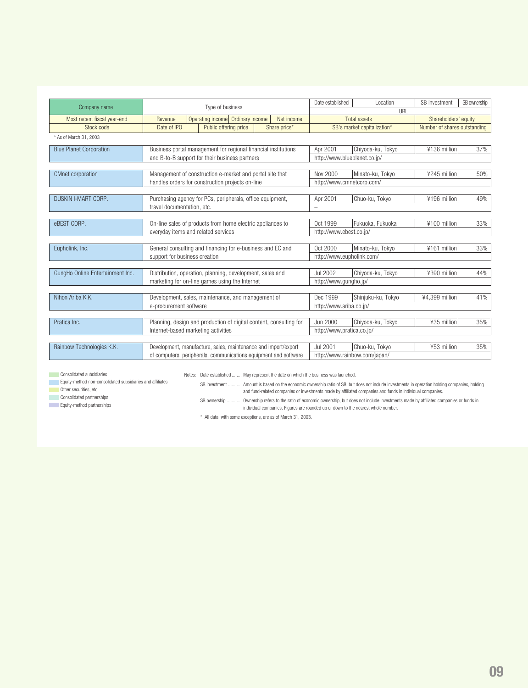| Company name                     | Type of business                                                   |                                                                  |                           | Date established             | Location                      | SB investment                | SB ownership |
|----------------------------------|--------------------------------------------------------------------|------------------------------------------------------------------|---------------------------|------------------------------|-------------------------------|------------------------------|--------------|
|                                  |                                                                    |                                                                  |                           |                              | URL                           |                              |              |
| Most recent fiscal year-end      | Revenue                                                            | Operating income Ordinary income                                 | Net income                |                              | <b>Total assets</b>           | Shareholders' equity         |              |
| Stock code                       | Date of IPO                                                        | Public offering price                                            | Share price*              |                              | SB's market capitalization*   | Number of shares outstanding |              |
| * As of March 31, 2003           |                                                                    |                                                                  |                           |                              |                               |                              |              |
| <b>Blue Planet Corporation</b>   |                                                                    | Business portal management for regional financial institutions   |                           | Apr 2001                     | Chiyoda-ku, Tokyo             | ¥136 million                 | 37%          |
|                                  |                                                                    | and B-to-B support for their business partners                   |                           | http://www.blueplanet.co.ip/ |                               |                              |              |
|                                  |                                                                    |                                                                  |                           |                              |                               |                              |              |
| <b>CMnet corporation</b>         |                                                                    | Management of construction e-market and portal site that         |                           | Nov 2000                     | Minato-ku, Tokyo              | ¥245 million                 | 50%          |
|                                  |                                                                    | handles orders for construction projects on-line                 |                           | http://www.cmnetcorp.com/    |                               |                              |              |
|                                  |                                                                    |                                                                  |                           |                              |                               |                              |              |
| <b>DUSKIN I-MART CORP.</b>       |                                                                    | Purchasing agency for PCs, peripherals, office equipment,        |                           | Apr 2001                     | Chuo-ku, Tokyo                | ¥196 million                 | 49%          |
|                                  | travel documentation, etc.                                         |                                                                  |                           |                              |                               |                              |              |
|                                  |                                                                    |                                                                  |                           |                              |                               |                              |              |
| eBEST CORP.                      |                                                                    | On-line sales of products from home electric appliances to       |                           | Oct 1999                     | Fukuoka, Fukuoka              | ¥100 million                 | 33%          |
|                                  | everyday items and related services                                |                                                                  |                           | http://www.ebest.co.ip/      |                               |                              |              |
|                                  |                                                                    |                                                                  |                           |                              |                               |                              |              |
| Eupholink, Inc.                  |                                                                    | General consulting and financing for e-business and EC and       |                           | Oct 2000                     | Minato-ku, Tokyo              | ¥161 million                 | 33%          |
|                                  | support for business creation                                      |                                                                  |                           | http://www.eupholink.com/    |                               |                              |              |
|                                  |                                                                    |                                                                  |                           |                              |                               |                              |              |
| GungHo Online Entertainment Inc. |                                                                    | Distribution, operation, planning, development, sales and        |                           | Jul 2002                     | Chiyoda-ku, Tokyo             | ¥390 million                 | 44%          |
|                                  |                                                                    | marketing for on-line games using the Internet                   |                           | http://www.gungho.jp/        |                               |                              |              |
|                                  |                                                                    |                                                                  |                           |                              |                               |                              |              |
| Nihon Ariba K.K.                 |                                                                    | Development, sales, maintenance, and management of               |                           | Dec 1999                     | Shinjuku-ku, Tokyo            | ¥4.399 million               | 41%          |
|                                  | e-procurement software                                             |                                                                  |                           | http://www.ariba.co.jp/      |                               |                              |              |
|                                  |                                                                    |                                                                  |                           |                              |                               |                              |              |
| Pratica Inc.                     | Planning, design and production of digital content, consulting for |                                                                  | Jun 2000                  | Chiyoda-ku, Tokyo            | ¥35 million                   | 35%                          |              |
|                                  | Internet-based marketing activities                                |                                                                  | http://www.pratica.co.jp/ |                              |                               |                              |              |
|                                  |                                                                    |                                                                  |                           |                              |                               |                              |              |
| Rainbow Technologies K.K.        |                                                                    | Development, manufacture, sales, maintenance and import/export   |                           | Jul 2001                     | Chuo-ku, Tokyo                | ¥53 million                  | 35%          |
|                                  |                                                                    | of computers, peripherals, communications equipment and software |                           |                              | http://www.rainbow.com/japan/ |                              |              |

**Consolidated subsidiaries** 

Notes: Date established ........ May represent the date on which the business was launched.

Equity-method non-consolidated subsidiaries and affiliates

**Other securities, etc.** 

SB investment ........... Amount is based on the economic ownership ratio of SB, but does not include investments in operation holding companies, holding and fund-related companies or investments made by affiliated companies and funds in individual companies.

**Consolidated partnerships** Equity-method partnerships

SB ownership ............ Ownership refers to the ratio of economic ownership, but does not include investments made by affiliated companies or funds in individual companies. Figures are rounded up or down to the nearest whole number.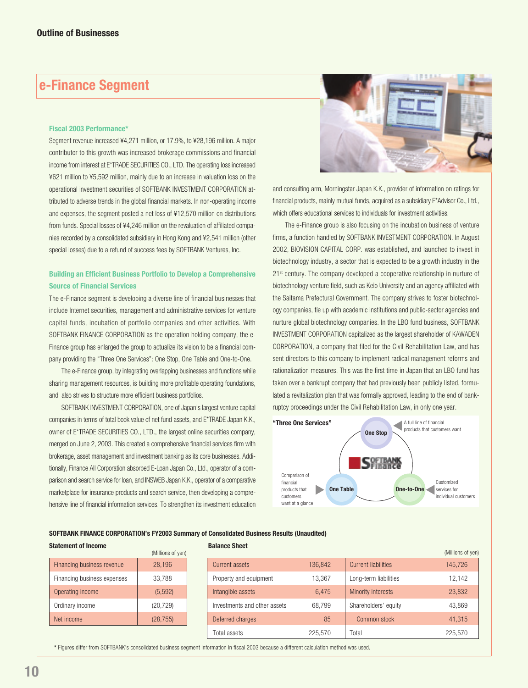# **e-Finance Segment**

#### **Fiscal 2003 Performance\***

Segment revenue increased ¥4,271 million, or 17.9%, to ¥28,196 million. A major contributor to this growth was increased brokerage commissions and financial income from interest at E\*TRADE SECURITIES CO., LTD. The operating loss increased ¥621 million to ¥5,592 million, mainly due to an increase in valuation loss on the operational investment securities of SOFTBANK INVESTMENT CORPORATION attributed to adverse trends in the global financial markets. In non-operating income and expenses, the segment posted a net loss of ¥12,570 million on distributions from funds. Special losses of ¥4,246 million on the revaluation of affiliated companies recorded by a consolidated subsidiary in Hong Kong and ¥2,541 million (other special losses) due to a refund of success fees by SOFTBANK Ventures, Inc.

### **Building an Efficient Business Portfolio to Develop a Comprehensive Source of Financial Services**

The e-Finance segment is developing a diverse line of financial businesses that include Internet securities, management and administrative services for venture capital funds, incubation of portfolio companies and other activities. With SOFTBANK FINANCE CORPORATION as the operation holding company, the e-Finance group has enlarged the group to actualize its vision to be a financial company providing the "Three One Services": One Stop, One Table and One-to-One.

The e-Finance group, by integrating overlapping businesses and functions while sharing management resources, is building more profitable operating foundations, and also strives to structure more efficient business portfolios.

SOFTBANK INVESTMENT CORPORATION, one of Japan's largest venture capital companies in terms of total book value of net fund assets, and E\*TRADE Japan K.K., owner of E\*TRADE SECURITIES CO., LTD., the largest online securities company, merged on June 2, 2003. This created a comprehensive financial services firm with brokerage, asset management and investment banking as its core businesses. Additionally, Finance All Corporation absorbed E-Loan Japan Co., Ltd., operator of a comparison and search service for loan, and INSWEB Japan K.K., operator of a comparative marketplace for insurance products and search service, then developing a comprehensive line of financial information services. To strengthen its investment education



and consulting arm, Morningstar Japan K.K., provider of information on ratings for financial products, mainly mutual funds, acquired as a subsidiary E\*Advisor Co., Ltd., which offers educational services to individuals for investment activities.

The e-Finance group is also focusing on the incubation business of venture firms, a function handled by SOFTBANK INVESTMENT CORPORATION. In August 2002, BIOVISION CAPITAL CORP. was established, and launched to invest in biotechnology industry, a sector that is expected to be a growth industry in the 21<sup>st</sup> century. The company developed a cooperative relationship in nurture of biotechnology venture field, such as Keio University and an agency affiliated with the Saitama Prefectural Government. The company strives to foster biotechnology companies, tie up with academic institutions and public-sector agencies and nurture global biotechnology companies. In the LBO fund business, SOFTBANK INVESTMENT CORPORATION capitalized as the largest shareholder of KAWADEN CORPORATION, a company that filed for the Civil Rehabilitation Law, and has sent directors to this company to implement radical management reforms and rationalization measures. This was the first time in Japan that an LBO fund has taken over a bankrupt company that had previously been publicly listed, formulated a revitalization plan that was formally approved, leading to the end of bankruptcy proceedings under the Civil Rehabilitation Law, in only one year.



### **SOFTBANK FINANCE CORPORATION's FY2003 Summary of Consolidated Business Results (Unaudited)**

#### **Statement of Income**

|                             | (Millions of yen) |
|-----------------------------|-------------------|
| Financing business revenue  | 28,196            |
| Financing business expenses | 33,788            |
| Operating income            | (5, 592)          |
| Ordinary income             | (20, 729)         |
| Net income                  | (28, 755)         |
|                             |                   |

**Balance Sheet**

|                              |         |                            | (Millions of yen) |
|------------------------------|---------|----------------------------|-------------------|
| <b>Current assets</b>        | 136,842 | <b>Current liabilities</b> | 145,726           |
| Property and equipment       | 13.367  | Long-term liabilities      | 12,142            |
| Intangible assets            | 6,475   | <b>Minority interests</b>  | 23,832            |
| Investments and other assets | 68.799  | Shareholders' equity       | 43,869            |
| Deferred charges             | 85      | Common stock               | 41,315            |
| Total assets                 | 225,570 | Total                      | 225,570           |

**\*** Figures differ from SOFTBANK's consolidated business segment information in fiscal 2003 because a different calculation method was used.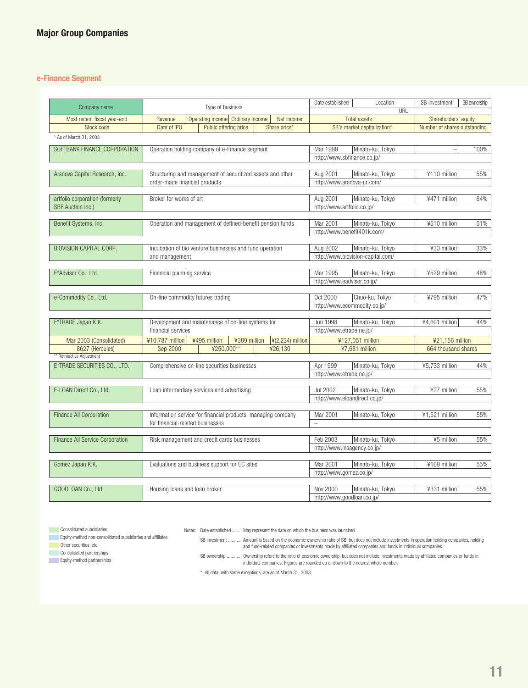### **e-Finance Segment**

| Company name                    | Type of business                                                                 | Date established<br>Location<br>URL                        | SB ownership<br>SB investment |
|---------------------------------|----------------------------------------------------------------------------------|------------------------------------------------------------|-------------------------------|
| Most recent fiscal year-end     | Operating income Ordinary income<br>Net income<br>Revenue                        | <b>Total assets</b>                                        | Shareholders' equity          |
| Stock code                      | Date of IPO<br>Public offering price<br>Share price*                             | SB's market capitalization*                                | Number of shares outstanding  |
|                                 |                                                                                  |                                                            |                               |
| * As of March 31, 2003          |                                                                                  |                                                            |                               |
| SOFTBANK FINANCE CORPORATION    | Operation holding company of e-Finance segment                                   | Mar 1999<br>Minato-ku, Tokyo                               | 100%                          |
|                                 |                                                                                  | http://www.sbfinance.co.jp/                                |                               |
|                                 |                                                                                  |                                                            |                               |
| Arsnova Capital Research, Inc.  | Structuring and management of securitized assets and other                       | Aug 2001<br>Minato-ku, Tokyo                               | 55%<br>¥110 million           |
|                                 | order-made financial products                                                    | http://www.arsnova-cr.com/                                 |                               |
|                                 |                                                                                  |                                                            |                               |
| artfolio corporation (formerly  | Broker for works of art                                                          | Aug 2001<br>Minato-ku, Tokyo                               | 84%<br>¥471 million           |
| <b>SBF</b> Auction Inc.)        |                                                                                  | http://www.artfolio.co.jp/                                 |                               |
|                                 |                                                                                  |                                                            |                               |
| Benefit Systems, Inc.           | Operation and management of defined-benefit pension funds                        | Mar 2001<br>Minato-ku, Tokyo                               | ¥510 million<br>51%           |
|                                 |                                                                                  | http://www.benefit401k.com/                                |                               |
| <b>BIOVISION CAPITAL CORP.</b>  |                                                                                  |                                                            |                               |
|                                 | Incubation of bio venture businesses and fund operation                          | Aug 2002<br>Minato-ku, Tokyo                               | ¥33 million<br>33%            |
|                                 | and management                                                                   | http://www.biovision-capital.com/                          |                               |
| E*Advisor Co., Ltd.             | Financial planning service                                                       | Mar 1995<br>Minato-ku, Tokyo                               | ¥529 million<br>48%           |
|                                 |                                                                                  | http://www.eadvisor.co.jp/                                 |                               |
|                                 |                                                                                  |                                                            |                               |
| e-Commodity Co., Ltd.           | On-line commodity futures trading                                                | Oct 2000<br>Chuo-ku, Tokyo                                 | 47%<br>¥795 million           |
|                                 |                                                                                  | http://www.ecommodity.co.jp/                               |                               |
|                                 |                                                                                  |                                                            |                               |
| E*TRADE Japan K.K.              | Development and maintenance of on-line systems for                               | Minato-ku, Tokyo<br>Jun 1998                               | 44%<br>¥4,601 million         |
|                                 | financial services                                                               | http://www.etrade.ne.jp/                                   |                               |
| Mar 2003 (Consolidated)         | ¥10.787 million<br>¥495 million<br>¥389 million<br>$\frac{4}{2}$ (2,234) million | ¥127,051 million                                           | ¥21,156 million               |
| 8627 (Hercules)                 | ¥250.000**<br>Sep 2000<br>¥26.130                                                | ¥7.681 million                                             | 664 thousand shares           |
| ** Retroactive Adjustment       |                                                                                  |                                                            |                               |
| E*TRADE SECURITIES CO., LTD.    | Comprehensive on-line securities businesses                                      | Apr 1999<br>Minato-ku, Tokyo                               | ¥5,733 million<br>44%         |
|                                 |                                                                                  | http://www.etrade.ne.jp/                                   |                               |
|                                 |                                                                                  |                                                            |                               |
| E-LOAN Direct Co., Ltd.         | Loan intermediary services and advertising                                       | <b>Jul 2002</b><br>Minato-ku, Tokyo                        | ¥27 million<br>55%            |
|                                 |                                                                                  | http://www.eloandirect.co.jp/                              |                               |
|                                 |                                                                                  |                                                            |                               |
| Finance All Corporation         | Information service for financial products, managing company                     | Mar 2001<br>Minato-ku, Tokyo                               | ¥1,521 million<br>55%         |
|                                 | for financial-related businesses                                                 | $\overline{\phantom{0}}$                                   |                               |
|                                 |                                                                                  |                                                            |                               |
| Finance All Service Corporation | Risk management and credit cards businesses                                      | Feb 2003<br>Minato-ku, Tokyo                               | ¥5 million<br>55%             |
|                                 |                                                                                  | http://www.insagency.co.jp/                                |                               |
|                                 |                                                                                  |                                                            |                               |
| Gomez Japan K.K.                | Evaluations and business support for EC sites                                    | Mar 2001<br>Minato-ku, Tokyo                               | ¥169 million<br>55%           |
|                                 |                                                                                  | http://www.gomez.co.jp/                                    |                               |
|                                 |                                                                                  |                                                            |                               |
| GOODLOAN Co., Ltd.              | Housing loans and loan broker                                                    | Nov 2000<br>Minato-ku, Tokyo<br>http://www.goodloan.co.jp/ | ¥331 million<br>55%           |
|                                 |                                                                                  |                                                            |                               |

**Consolidated subsidiaries** 

Notes: Date established ........ May represent the date on which the business was launched.

**Equity-method non-consolidated subsidiaries and affiliates** 

**Other securities, etc.** 

Consolidated partnerships Equity-method partnerships

SB investment ........... Amount is based on the economic ownership ratio of SB, but does not include investments in operation holding companies, holding and fund-related companies or investments made by affiliated companies and funds in individual companies.

SB ownership ………… Ownership refers to the ratio of economic ownership, but does not include investments made by affiliated companies or funds in<br>individual companies. Figures are rounded up or down to the nearest whole num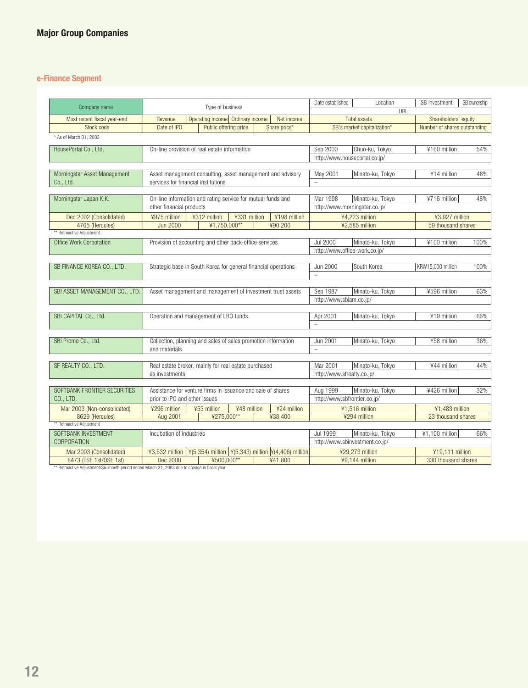# **e-Finance Segment**

| Company name                              | Type of business                                               |                       |              | Date established | Location                                                                   | SB investment                        | SB ownership                   |                              |      |
|-------------------------------------------|----------------------------------------------------------------|-----------------------|--------------|------------------|----------------------------------------------------------------------------|--------------------------------------|--------------------------------|------------------------------|------|
|                                           | Operating income Ordinary income                               |                       |              |                  | URL<br><b>Total assets</b>                                                 | Shareholders' equity                 |                                |                              |      |
| Most recent fiscal year-end<br>Stock code | Revenue<br>Date of IPO                                         | Public offering price |              |                  | Net income<br>Share price*                                                 |                                      | SB's market capitalization*    | Number of shares outstanding |      |
|                                           |                                                                |                       |              |                  |                                                                            |                                      |                                |                              |      |
| * As of March 31, 2003                    |                                                                |                       |              |                  |                                                                            |                                      |                                |                              |      |
| HousePortal Co., Ltd.                     | On-line provision of real estate information                   |                       |              |                  |                                                                            | Sep 2000                             | Chuo-ku, Tokyo                 | ¥160 million                 | 54%  |
|                                           |                                                                |                       |              |                  |                                                                            | http://www.houseportal.co.jp/        |                                |                              |      |
|                                           |                                                                |                       |              |                  |                                                                            |                                      |                                |                              |      |
| Morningstar Asset Management              | Asset management consulting, asset management and advisory     |                       |              |                  |                                                                            | May 2001                             | Minato-ku, Tokyo               | ¥14 million                  | 48%  |
| Co., Ltd.                                 | services for financial institutions                            |                       |              |                  |                                                                            |                                      |                                |                              |      |
|                                           |                                                                |                       |              |                  |                                                                            |                                      |                                |                              |      |
| Morningstar Japan K.K.                    | On-line information and rating service for mutual funds and    |                       |              |                  |                                                                            | Mar 1998                             | Minato-ku, Tokyo               | ¥716 million                 | 48%  |
|                                           | other financial products                                       |                       |              |                  |                                                                            | http://www.morningstar.co.jp/        |                                |                              |      |
| Dec 2002 (Consolidated)                   | ¥975 million                                                   | ¥312 million          | ¥331 million |                  | ¥198 million                                                               |                                      | ¥4,223 million                 | ¥3,927 million               |      |
| 4765 (Hercules)                           | <b>Jun 2000</b>                                                | ¥1,750,000**          |              |                  | ¥90,200                                                                    |                                      | ¥2,585 million                 | 59 thousand shares           |      |
| ** Retroactive Adjustment                 |                                                                |                       |              |                  |                                                                            |                                      |                                |                              |      |
| Office Work Corporation                   | Provision of accounting and other back-office services         |                       |              |                  |                                                                            | <b>Jul 2000</b>                      | Minato-ku. Tokvo               | ¥100 million                 | 100% |
|                                           |                                                                |                       |              |                  |                                                                            | http://www.office-work.co.jp/        |                                |                              |      |
|                                           |                                                                |                       |              |                  |                                                                            |                                      |                                |                              |      |
| SB FINANCE KOREA CO., LTD.                | Strategic base in South Korea for general financial operations |                       |              |                  |                                                                            | <b>Jun 2000</b>                      | South Korea                    | KRW15,000 million            | 100% |
|                                           |                                                                |                       |              |                  |                                                                            | $\overline{\phantom{0}}$             |                                |                              |      |
|                                           |                                                                |                       |              |                  |                                                                            |                                      |                                |                              |      |
| SBI ASSET MANAGEMENT CO., LTD.            | Asset management and management of investment trust assets     |                       |              |                  |                                                                            | Sep 1987                             | Minato-ku, Tokyo               | ¥596 million                 | 63%  |
|                                           |                                                                |                       |              |                  |                                                                            | http://www.sbiam.co.jp/              |                                |                              |      |
|                                           |                                                                |                       |              |                  |                                                                            |                                      |                                |                              |      |
| SBI CAPITAL Co., Ltd.                     | Operation and management of LBO funds                          |                       |              |                  |                                                                            | Apr 2001<br>$\overline{\phantom{0}}$ | Minato-ku, Tokyo               | ¥19 million                  | 66%  |
|                                           |                                                                |                       |              |                  |                                                                            |                                      |                                |                              |      |
| SBI Promo Co., Ltd.                       | Collection, planning and sales of sales promotion information  |                       |              |                  |                                                                            | Jun 2001                             | Minato-ku, Tokyo               | ¥58 million                  | 36%  |
|                                           | and materials                                                  |                       |              |                  |                                                                            | $\overline{a}$                       |                                |                              |      |
|                                           |                                                                |                       |              |                  |                                                                            |                                      |                                |                              |      |
| SF REALTY CO., LTD.                       | Real estate broker, mainly for real estate purchased           |                       |              |                  |                                                                            | Mar 2001                             | Minato-ku, Tokyo               | ¥44 million                  | 44%  |
|                                           | as investments                                                 |                       |              |                  |                                                                            | http://www.sfrealty.co.jp/           |                                |                              |      |
|                                           |                                                                |                       |              |                  |                                                                            |                                      |                                |                              |      |
| SOFTBANK FRONTIER SECURITIES              | Assistance for venture firms in issuance and sale of shares    |                       |              |                  |                                                                            | Aug 1999                             | Minato-ku, Tokyo               | ¥426 million                 | 32%  |
| CO., LTD.                                 | prior to IPO and other issues                                  |                       |              |                  |                                                                            | http://www.sbfrontier.co.jp/         |                                |                              |      |
| Mar 2003 (Non-consolidated)               | ¥296 million<br>¥53 million<br>¥48 million                     |                       |              | ¥24 million      |                                                                            | ¥1,516 million                       | ¥1,483 million                 |                              |      |
| 8629 (Hercules)                           | Aug 2001                                                       | ¥275,000**            |              |                  | ¥38,400                                                                    |                                      | ¥294 million                   | 23 thousand shares           |      |
| ** Retroactive Adjustment                 |                                                                |                       |              |                  |                                                                            |                                      |                                |                              |      |
| SOFTBANK INVESTMENT                       | Incubation of industries                                       |                       |              |                  |                                                                            | Jul 1999                             | Minato-ku, Tokyo               | ¥1,100 million               | 66%  |
| <b>CORPORATION</b>                        |                                                                |                       |              |                  |                                                                            |                                      | http://www.sbinvestment.co.jp/ |                              |      |
| Mar 2003 (Consolidated)                   | ¥3,532 million                                                 |                       |              |                  | $\vert$ ¥(5,354) million $\vert$ ¥(5,343) million $\vert$ ¥(4,406) million |                                      | ¥29,273 million                | ¥19,111 million              |      |
| 8473 (TSE 1st/OSE 1st)                    | Dec 2000                                                       | ¥500,000**            |              |                  | ¥41,800                                                                    |                                      | ¥9,144 million                 | 330 thousand shares          |      |
|                                           |                                                                |                       |              |                  |                                                                            |                                      |                                |                              |      |

\*\* Retroactive Adjustment/Six-month period ended March 31, 2003 due to change in fiscal year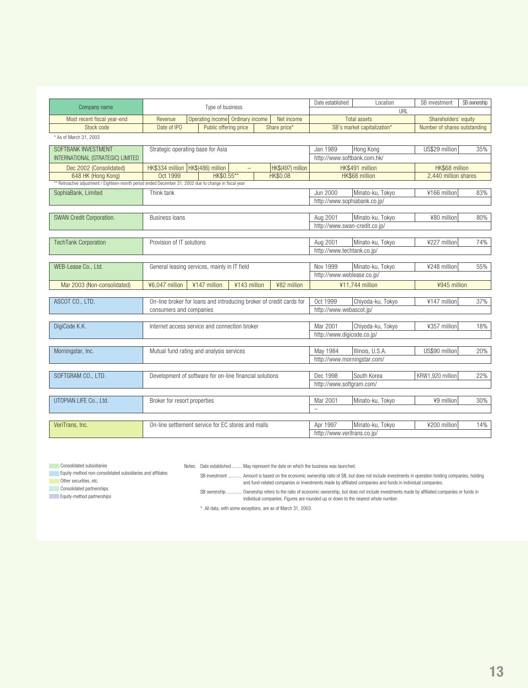| Company name                                                                                          | Type of business                                          |                                                                      |                             | Date established           | Location<br>URL               | SB investment                | SB ownership |
|-------------------------------------------------------------------------------------------------------|-----------------------------------------------------------|----------------------------------------------------------------------|-----------------------------|----------------------------|-------------------------------|------------------------------|--------------|
| Most recent fiscal year-end                                                                           | Operating income Ordinary income<br>Net income<br>Revenue |                                                                      |                             |                            | <b>Total assets</b>           | Shareholders' equity         |              |
| Stock code                                                                                            | Date of IPO                                               | Public offering price                                                | Share price*                |                            | SB's market capitalization*   | Number of shares outstanding |              |
| * As of March 31, 2003                                                                                |                                                           |                                                                      |                             |                            |                               |                              |              |
| SOFTBANK INVESTMENT                                                                                   | Strategic operating base for Asia                         |                                                                      |                             | Jan 1989                   | Hong Kong                     | US\$29 million               | 35%          |
| INTERNATIONAL (STRATEGIC) LIMITED                                                                     |                                                           |                                                                      |                             |                            | http://www.softbank.com.hk/   |                              |              |
| Dec 2002 (Consolidated)                                                                               |                                                           | HK\$334 million   HK\$(486) million<br>HK\$(497) million<br>$\equiv$ |                             |                            | HK\$491 million               | HK\$68 million               |              |
| 648 HK (Hong Kong)                                                                                    | Oct 1999                                                  | HK\$0.55**                                                           | <b>HK\$0.08</b>             |                            | HK\$68 million                | 2.440 million shares         |              |
| * Retroactive adjustment / Eighteen-month period ended December 31, 2002 due to change in fiscal year |                                                           |                                                                      |                             |                            |                               |                              |              |
| SophiaBank, Limited                                                                                   | Think tank                                                |                                                                      |                             | Jun 2000                   | Minato-ku, Tokyo              | ¥166 million                 | 83%          |
|                                                                                                       |                                                           |                                                                      |                             |                            | http://www.sophiabank.co.jp/  |                              |              |
| SWAN Credit Corporation.                                                                              | <b>Business loans</b>                                     |                                                                      |                             | Aug 2001                   | Minato-ku, Tokyo              | ¥80 million                  | 80%          |
|                                                                                                       |                                                           |                                                                      |                             |                            | http://www.swan-credit.co.jp/ |                              |              |
|                                                                                                       |                                                           |                                                                      |                             |                            |                               |                              |              |
| <b>TechTank Corporation</b>                                                                           | Provision of IT solutions                                 |                                                                      |                             | Aug 2001                   | Minato-ku, Tokyo              | ¥227 million                 | 74%          |
|                                                                                                       |                                                           |                                                                      |                             | http://www.techtank.co.jp/ |                               |                              |              |
|                                                                                                       |                                                           |                                                                      |                             |                            |                               |                              |              |
| WEB-Lease Co., Ltd.                                                                                   |                                                           | General leasing services, mainly in IT field                         |                             | Nov 1999                   | Minato-ku, Tokyo              | ¥248 million                 | 55%          |
|                                                                                                       |                                                           |                                                                      |                             | http://www.weblease.co.jp/ |                               |                              |              |
| Mar 2003 (Non-consolidated)                                                                           | ¥6,047 million                                            | ¥147 million<br>¥143 million                                         | ¥82 million                 |                            | ¥11,744 million               | ¥945 million                 |              |
| ASCOT CO., LTD.                                                                                       |                                                           | On-line broker for loans and introducing broker of credit cards for  |                             | Oct 1999                   | Chiyoda-ku, Tokyo             | ¥147 million                 | 37%          |
|                                                                                                       | consumers and companies                                   |                                                                      |                             | http://www.webascot.jp/    |                               |                              |              |
|                                                                                                       |                                                           |                                                                      |                             |                            |                               |                              |              |
| DigiCode K.K.                                                                                         |                                                           | Internet access service and connection broker                        |                             | Mar 2001                   | Chiyoda-ku, Tokyo             | ¥357 million                 | 18%          |
|                                                                                                       |                                                           |                                                                      |                             | http://www.digicode.co.jp/ |                               |                              |              |
|                                                                                                       |                                                           |                                                                      |                             |                            |                               |                              |              |
| Morningstar, Inc.                                                                                     |                                                           | Mutual fund rating and analysis services                             |                             | May 1984                   | Illinois, U.S.A.              | US\$90 million               | 20%          |
|                                                                                                       |                                                           |                                                                      |                             |                            | http://www.morningstar.com/   |                              |              |
| SOFTGRAM CO., LTD.                                                                                    |                                                           |                                                                      |                             | Dec 1998                   | South Korea                   | KRW1,920 million             | 22%          |
|                                                                                                       | Development of software for on-line financial solutions   |                                                                      | http://www.softgram.com/    |                            |                               |                              |              |
|                                                                                                       |                                                           |                                                                      |                             |                            |                               |                              |              |
| UTOPIAN LIFE Co., Ltd.                                                                                | Broker for resort properties                              |                                                                      |                             | Mar 2001                   | Minato-ku, Tokyo              | ¥9 million                   | 30%          |
|                                                                                                       |                                                           |                                                                      |                             | $\overline{a}$             |                               |                              |              |
|                                                                                                       |                                                           |                                                                      |                             |                            |                               |                              |              |
| VeriTrans, Inc.                                                                                       |                                                           | On-line settlement service for EC stores and malls                   |                             | Apr 1997                   | Minato-ku, Tokyo              | ¥200 million                 | 14%          |
|                                                                                                       |                                                           |                                                                      | http://www.veritrans.co.jp/ |                            |                               |                              |              |

**Consolidated subsidiaries** 

Notes: Date established ........ May represent the date on which the business was launched.

Equity-method non-consolidated subsidiaries and affiliates

Other securities, etc.

**Consolidated partnerships** 

Equity-method partnerships

SB investment ........... Amount is based on the economic ownership ratio of SB, but does not include investments in operation holding companies, holding and fund-related companies or investments made by affiliated companies and funds in individual companies.

SB ownership ............ Ownership refers to the ratio of economic ownership, but does not include investments made by affiliated companies or funds in individual companies. Figures are rounded up or down to the nearest whole number.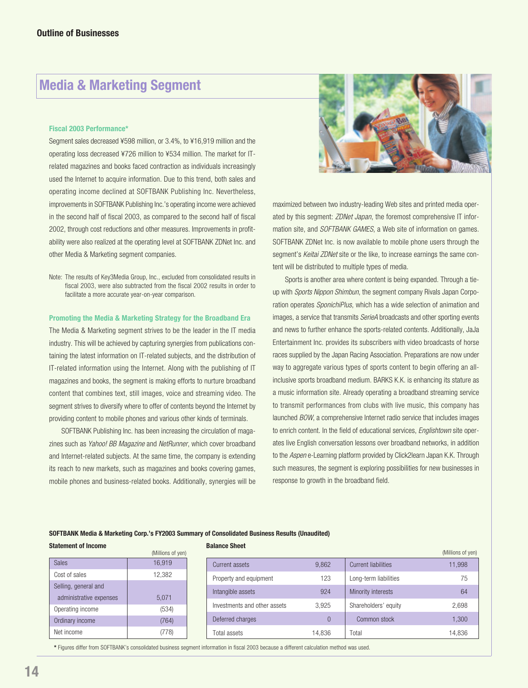# **Media & Marketing Segment**

#### **Fiscal 2003 Performance\***

Segment sales decreased ¥598 million, or 3.4%, to ¥16,919 million and the operating loss decreased ¥726 million to ¥534 million. The market for ITrelated magazines and books faced contraction as individuals increasingly used the Internet to acquire information. Due to this trend, both sales and operating income declined at SOFTBANK Publishing Inc. Nevertheless, improvements in SOFTBANK Publishing Inc.'s operating income were achieved in the second half of fiscal 2003, as compared to the second half of fiscal 2002, through cost reductions and other measures. Improvements in profitability were also realized at the operating level at SOFTBANK ZDNet Inc. and other Media & Marketing segment companies.

Note: The results of Key3Media Group, Inc., excluded from consolidated results in fiscal 2003, were also subtracted from the fiscal 2002 results in order to facilitate a more accurate year-on-year comparison.

#### **Promoting the Media & Marketing Strategy for the Broadband Era**

The Media & Marketing segment strives to be the leader in the IT media industry. This will be achieved by capturing synergies from publications containing the latest information on IT-related subjects, and the distribution of IT-related information using the Internet. Along with the publishing of IT magazines and books, the segment is making efforts to nurture broadband content that combines text, still images, voice and streaming video. The segment strives to diversify where to offer of contents beyond the Internet by providing content to mobile phones and various other kinds of terminals.

SOFTBANK Publishing Inc. has been increasing the circulation of magazines such as Yahoo! BB Magazine and NetRunner, which cover broadband and Internet-related subjects. At the same time, the company is extending its reach to new markets, such as magazines and books covering games, mobile phones and business-related books. Additionally, synergies will be



maximized between two industry-leading Web sites and printed media operated by this segment: ZDNet Japan, the foremost comprehensive IT information site, and *SOFTBANK GAMES*, a Web site of information on games. SOFTBANK ZDNet Inc. is now available to mobile phone users through the segment's Keitai ZDNet site or the like, to increase earnings the same content will be distributed to multiple types of media.

Sports is another area where content is being expanded. Through a tieup with Sports Nippon Shimbun, the segment company Rivals Japan Corporation operates SponichiPlus, which has a wide selection of animation and images, a service that transmits SerieA broadcasts and other sporting events and news to further enhance the sports-related contents. Additionally, JaJa Entertainment Inc. provides its subscribers with video broadcasts of horse races supplied by the Japan Racing Association. Preparations are now under way to aggregate various types of sports content to begin offering an allinclusive sports broadband medium. BARKS K.K. is enhancing its stature as a music information site. Already operating a broadband streaming service to transmit performances from clubs with live music, this company has launched BOW, a comprehensive Internet radio service that includes images to enrich content. In the field of educational services, *Englishtown* site operates live English conversation lessons over broadband networks, in addition to the Aspen e-Learning platform provided by Click2learn Japan K.K. Through such measures, the segment is exploring possibilities for new businesses in response to growth in the broadband field.

#### **SOFTBANK Media & Marketing Corp.'s FY2003 Summary of Consolidated Business Results (Unaudited)**

**Statement of Income**

|                         | (Millions of yen) |
|-------------------------|-------------------|
| <b>Sales</b>            | 16,919            |
| Cost of sales           | 12,382            |
| Selling, general and    |                   |
| administrative expenses | 5,071             |
| Operating income        | (534)             |
| Ordinary income         | (764)             |
| Net income              |                   |

|  |  |  |  | Balance Sheet |
|--|--|--|--|---------------|
|--|--|--|--|---------------|

| αιαιιυσ σιισσι               |          |                            | (Millions of yen) |
|------------------------------|----------|----------------------------|-------------------|
| Current assets               | 9.862    | <b>Current liabilities</b> | 11,998            |
| Property and equipment       | 123      | Long-term liabilities      | 75                |
| Intangible assets            | 924      | Minority interests         | 64                |
| Investments and other assets | 3.925    | Shareholders' equity       | 2,698             |
| Deferred charges             | $\Omega$ | Common stock               | 1,300             |
| Total assets                 | 14.836   | Total                      | 14,836            |

**\*** Figures differ from SOFTBANK's consolidated business segment information in fiscal 2003 because a different calculation method was used.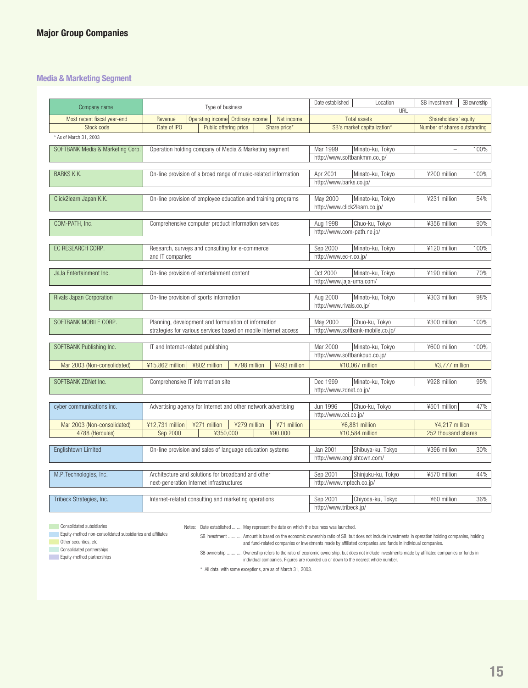### **Media & Marketing Segment**

| Company name                     | Type of business                                                | Date established      | Location<br>URL                         | SB investment                     | SB ownership                 |      |
|----------------------------------|-----------------------------------------------------------------|-----------------------|-----------------------------------------|-----------------------------------|------------------------------|------|
| Most recent fiscal year-end      | Operating income Ordinary income<br>Revenue                     | Net income            |                                         | <b>Total assets</b>               | Shareholders' equity         |      |
| Stock code                       | Date of IPO<br>Public offering price                            | Share price*          |                                         | SB's market capitalization*       | Number of shares outstanding |      |
| * As of March 31, 2003           |                                                                 |                       |                                         |                                   |                              |      |
| SOFTBANK Media & Marketing Corp. | Operation holding company of Media & Marketing segment          |                       | Mar 1999                                | Minato-ku, Tokyo                  |                              | 100% |
|                                  |                                                                 |                       | http://www.softbankmm.co.jp/            |                                   |                              |      |
|                                  |                                                                 |                       |                                         |                                   |                              |      |
| <b>BARKS K.K.</b>                | On-line provision of a broad range of music-related information |                       | Apr 2001                                | Minato-ku, Tokyo                  | ¥200 million                 | 100% |
|                                  |                                                                 |                       | http://www.barks.co.jp/                 |                                   |                              |      |
|                                  |                                                                 |                       |                                         |                                   |                              |      |
| Click2learn Japan K.K.           | On-line provision of employee education and training programs   |                       | May 2000                                | Minato-ku, Tokyo                  | ¥231 million                 | 54%  |
|                                  |                                                                 |                       | http://www.click2learn.co.jp/           |                                   |                              |      |
| COM-PATH, Inc.                   | Comprehensive computer product information services             |                       | Aug 1998                                | Chuo-ku, Tokyo                    | ¥356 million                 | 90%  |
|                                  |                                                                 |                       | http://www.com-path.ne.jp/              |                                   |                              |      |
|                                  |                                                                 |                       |                                         |                                   |                              |      |
| EC RESEARCH CORP.                | Research, surveys and consulting for e-commerce                 |                       | Sep 2000                                | Minato-ku, Tokyo                  | ¥120 million                 | 100% |
|                                  | and IT companies                                                |                       | http://www.ec-r.co.jp/                  |                                   |                              |      |
|                                  |                                                                 |                       |                                         |                                   |                              |      |
| JaJa Entertainment Inc.          | On-line provision of entertainment content                      |                       | Oct 2000                                | Minato-ku, Tokyo                  | ¥190 million                 | 70%  |
|                                  |                                                                 |                       | http://www.jaja-uma.com/                |                                   |                              |      |
| Rivals Japan Corporation         | On-line provision of sports information                         |                       | Aug 2000                                | Minato-ku, Tokyo                  | ¥303 million                 | 98%  |
|                                  |                                                                 |                       | http://www.rivals.co.jp/                |                                   |                              |      |
|                                  |                                                                 |                       |                                         |                                   |                              |      |
| SOFTBANK MOBILE CORP.            | Planning, development and formulation of information            |                       | May 2000                                | Chuo-ku, Tokyo                    | ¥300 million                 | 100% |
|                                  | strategies for various services based on mobile Internet access |                       |                                         | http://www.softbank-mobile.co.jp/ |                              |      |
|                                  |                                                                 |                       | Mar 2000                                |                                   |                              |      |
| SOFTBANK Publishing Inc.         | IT and Internet-related publishing                              |                       | http://www.softbankpub.co.jp/           | Minato-ku, Tokyo                  | ¥600 million                 | 100% |
|                                  | ¥15,862 million<br>¥802 million<br>¥798 million                 | ¥493 million          |                                         |                                   |                              |      |
| Mar 2003 (Non-consolidated)      |                                                                 |                       |                                         | ¥10,067 million                   | ¥3,777 million               |      |
| SOFTBANK ZDNet Inc.              | Comprehensive IT information site                               |                       | Dec 1999                                | Minato-ku, Tokyo                  | ¥928 million                 | 95%  |
|                                  |                                                                 |                       | http://www.zdnet.co.jp/                 |                                   |                              |      |
|                                  |                                                                 |                       |                                         |                                   |                              |      |
| cyber communications inc.        | Advertising agency for Internet and other network advertising   |                       | Jun 1996                                | Chuo-ku, Tokyo                    | ¥501 million                 | 47%  |
|                                  |                                                                 | http://www.cci.co.jp/ |                                         |                                   |                              |      |
| Mar 2003 (Non-consolidated)      | ¥12,731 million<br>¥271 million<br>¥279 million                 |                       | ¥6,881 million                          | ¥4,217 million                    |                              |      |
| 4788 (Hercules)                  | ¥350,000<br>Sep 2000                                            | ¥90,000               |                                         | ¥10,584 million                   | 252 thousand shares          |      |
|                                  |                                                                 |                       |                                         |                                   |                              |      |
| <b>Englishtown Limited</b>       | On-line provision and sales of language education systems       |                       | Jan 2001<br>http://www.englishtown.com/ | Shibuya-ku, Tokyo                 | ¥396 million                 | 30%  |
|                                  |                                                                 |                       |                                         |                                   |                              |      |
| M.P.Technologies, Inc.           | Architecture and solutions for broadband and other              | Sep 2001              | Shinjuku-ku, Tokyo                      | ¥570 million                      | 44%                          |      |
|                                  | next-generation Internet infrastructures                        |                       | http://www.mptech.co.jp/                |                                   |                              |      |
|                                  |                                                                 |                       |                                         |                                   |                              |      |
| Tribeck Strategies, Inc.         | Internet-related consulting and marketing operations            |                       | Sep 2001                                | Chiyoda-ku, Tokyo                 | ¥60 million                  | 36%  |
|                                  |                                                                 |                       | http://www.tribeck.jp/                  |                                   |                              |      |

**Consolidated subsidiaries** Equity-method non-consolidated subsidiaries and affiliates

Notes: Date established ........ May represent the date on which the business was launched.

SB investment ........... Amount is based on the economic ownership ratio of SB, but does not include investments in operation holding companies, holding and fund-related companies or investments made by affiliated companies and funds in individual companies.

**Other securities, etc. Consolidated partnerships** 

Equity-method partnerships

SB ownership ............ Ownership refers to the ratio of economic ownership, but does not include investments made by affiliated companies or funds in

individual companies. Figures are rounded up or down to the nearest whole number.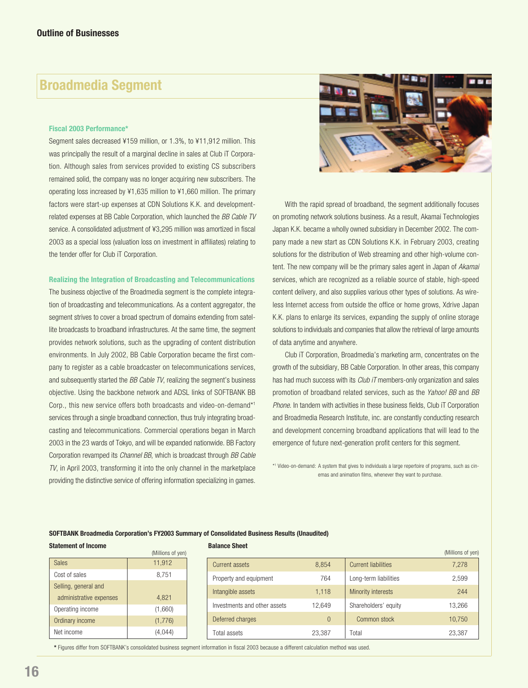# **Broadmedia Segment**

#### **Fiscal 2003 Performance\***

Segment sales decreased ¥159 million, or 1.3%, to ¥11,912 million. This was principally the result of a marginal decline in sales at Club iT Corporation. Although sales from services provided to existing CS subscribers remained solid, the company was no longer acquiring new subscribers. The operating loss increased by ¥1,635 million to ¥1,660 million. The primary factors were start-up expenses at CDN Solutions K.K. and developmentrelated expenses at BB Cable Corporation, which launched the BB Cable TV service. A consolidated adjustment of ¥3,295 million was amortized in fiscal 2003 as a special loss (valuation loss on investment in affiliates) relating to the tender offer for Club iT Corporation.

#### **Realizing the Integration of Broadcasting and Telecommunications**

The business objective of the Broadmedia segment is the complete integration of broadcasting and telecommunications. As a content aggregator, the segment strives to cover a broad spectrum of domains extending from satellite broadcasts to broadband infrastructures. At the same time, the segment provides network solutions, such as the upgrading of content distribution environments. In July 2002, BB Cable Corporation became the first company to register as a cable broadcaster on telecommunications services, and subsequently started the BB Cable TV, realizing the segment's business objective. Using the backbone network and ADSL links of SOFTBANK BB Corp., this new service offers both broadcasts and video-on-demand\*1 services through a single broadband connection, thus truly integrating broadcasting and telecommunications. Commercial operations began in March 2003 in the 23 wards of Tokyo, and will be expanded nationwide. BB Factory Corporation revamped its *Channel BB*, which is broadcast through BB Cable TV, in April 2003, transforming it into the only channel in the marketplace providing the distinctive service of offering information specializing in games.



With the rapid spread of broadband, the segment additionally focuses on promoting network solutions business. As a result, Akamai Technologies Japan K.K. became a wholly owned subsidiary in December 2002. The company made a new start as CDN Solutions K.K. in February 2003, creating solutions for the distribution of Web streaming and other high-volume content. The new company will be the primary sales agent in Japan of Akamai services, which are recognized as a reliable source of stable, high-speed content delivery, and also supplies various other types of solutions. As wireless Internet access from outside the office or home grows, Xdrive Japan K.K. plans to enlarge its services, expanding the supply of online storage solutions to individuals and companies that allow the retrieval of large amounts of data anytime and anywhere.

Club iT Corporation, Broadmedia's marketing arm, concentrates on the growth of the subsidiary, BB Cable Corporation. In other areas, this company has had much success with its *Club iT* members-only organization and sales promotion of broadband related services, such as the Yahoo! BB and BB Phone. In tandem with activities in these business fields, Club iT Corporation and Broadmedia Research Institute, inc. are constantly conducting research and development concerning broadband applications that will lead to the emergence of future next-generation profit centers for this segment.

\*1 Video-on-demand: A system that gives to individuals a large repertoire of programs, such as cinemas and animation films, whenever they want to purchase.

#### **SOFTBANK Broadmedia Corporation's FY2003 Summary of Consolidated Business Results (Unaudited)**

#### **Statement of Income**

|                         | (Millions of yen) |
|-------------------------|-------------------|
| <b>Sales</b>            | 11,912            |
| Cost of sales           | 8,751             |
| Selling, general and    |                   |
| administrative expenses | 4,821             |
| Operating income        | (1,660)           |
| Ordinary income         | (1,776)           |
| Net income              | (4, 044)          |

**Balance Sheet**

| υαιαιινσ υιισσι              |          |                            | (Millions of yen) |
|------------------------------|----------|----------------------------|-------------------|
| Current assets               | 8.854    | <b>Current liabilities</b> | 7,278             |
| Property and equipment       | 764      | Long-term liabilities      | 2,599             |
| Intangible assets            | 1,118    | Minority interests         | 244               |
| Investments and other assets | 12.649   | Shareholders' equity       | 13,266            |
| Deferred charges             | $\Omega$ | Common stock               | 10,750            |
| Total assets                 | 23,387   | Total                      | 23,387            |

**\*** Figures differ from SOFTBANK's consolidated business segment information in fiscal 2003 because a different calculation method was used.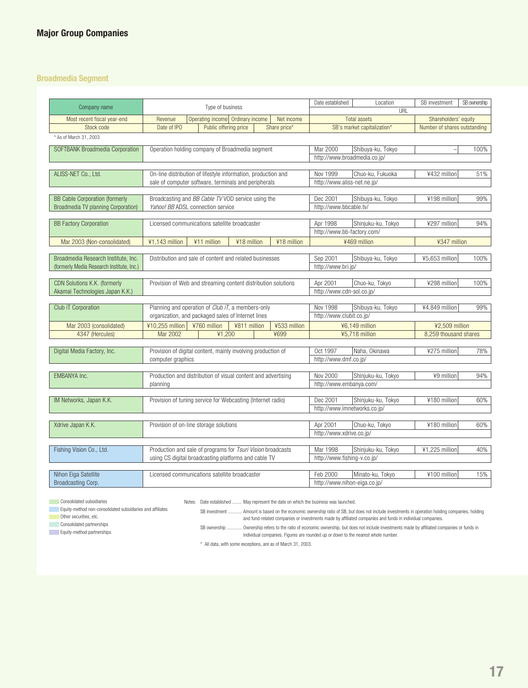### **Broadmedia Segment**

|                                           |                                                               |                       |                           |                                                    |                          |                              |                              | SB ownership |
|-------------------------------------------|---------------------------------------------------------------|-----------------------|---------------------------|----------------------------------------------------|--------------------------|------------------------------|------------------------------|--------------|
| Company name                              | Type of business                                              |                       |                           | Date established                                   | Location<br>URL          | SB investment                |                              |              |
| Most recent fiscal year-end               | Operating income Ordinary income<br>Revenue<br>Net income     |                       |                           |                                                    | <b>Total assets</b>      | Shareholders' equity         |                              |              |
| Stock code                                | Date of IPO                                                   | Public offering price |                           | Share price*                                       |                          | SB's market capitalization*  | Number of shares outstanding |              |
| * As of March 31, 2003                    |                                                               |                       |                           |                                                    |                          |                              |                              |              |
| SOFTBANK Broadmedia Corporation           | Operation holding company of Broadmedia segment               |                       |                           |                                                    | Mar 2000                 | Shibuya-ku, Tokyo            |                              | 100%         |
|                                           |                                                               |                       |                           |                                                    |                          | http://www.broadmedia.co.jp/ |                              |              |
|                                           |                                                               |                       |                           |                                                    |                          |                              |                              |              |
| ALISS-NET Co., Ltd.                       | On-line distribution of lifestyle information, production and |                       |                           |                                                    | Nov 1999                 | Chuo-ku, Fukuoka             | ¥432 million                 | 51%          |
|                                           | sale of computer software, terminals and peripherals          |                       |                           |                                                    |                          | http://www.aliss-net.ne.jp/  |                              |              |
|                                           |                                                               |                       |                           |                                                    |                          |                              |                              |              |
| <b>BB Cable Corporation (formerly</b>     | Broadcasting and BB Cable TV VOD service using the            |                       |                           |                                                    | Dec 2001                 | Shibuya-ku, Tokyo            | ¥198 million                 | 99%          |
| Broadmedia TV planning Corporation)       | Yahoo! BB ADSL connection service                             |                       |                           |                                                    | http://www.bbcable.tv/   |                              |                              |              |
|                                           |                                                               |                       |                           |                                                    |                          |                              |                              |              |
| <b>BB Factory Corporation</b>             | Licensed communications satellite broadcaster                 |                       |                           |                                                    | Apr 1998                 | Shinjuku-ku, Tokyo           | ¥297 million                 | 94%          |
|                                           |                                                               |                       |                           |                                                    |                          | http://www.bb-factory.com/   |                              |              |
| Mar 2003 (Non-consolidated)               | ¥1,143 million                                                | ¥11 million           | ¥18 million               | ¥18 million                                        |                          | ¥469 million                 | ¥347 million                 |              |
|                                           |                                                               |                       |                           |                                                    |                          |                              |                              |              |
| Broadmedia Research Institute, Inc.       | Distribution and sale of content and related businesses       |                       |                           |                                                    | Sep 2001                 | Shibuya-ku, Tokyo            | ¥5,653 million               | 100%         |
| (formerly Media Research Institute, Inc.) |                                                               |                       |                           |                                                    | http://www.bri.jp/       |                              |                              |              |
| CDN Solutions K.K. (formerly              |                                                               |                       |                           |                                                    | Apr 2001                 | Chuo-ku, Tokyo               | ¥298 million                 | 100%         |
| Akamai Technologies Japan K.K.)           | Provision of Web and streaming content distribution solutions |                       | http://www.cdn-sol.co.jp/ |                                                    |                          |                              |                              |              |
|                                           |                                                               |                       |                           |                                                    |                          |                              |                              |              |
| Club iT Corporation                       | Planning and operation of Club iT, a members-only             |                       |                           |                                                    | Nov 1998                 | Shibuya-ku, Tokyo            | ¥4,849 million               | 99%          |
|                                           | organization, and packaged sales of Internet lines            |                       |                           |                                                    | http://www.clubit.co.jp/ |                              |                              |              |
| Mar 2003 (consolidated)                   | ¥10,255 million                                               | ¥760 million          | ¥811 million              | ¥533 million                                       | ¥6,149 million           |                              | ¥2,509 million               |              |
| 4347 (Hercules)                           | Mar 2002                                                      | ¥1,200                |                           | ¥699                                               |                          | ¥5,718 million               | 8.259 thousand shares        |              |
|                                           |                                                               |                       |                           |                                                    |                          |                              |                              |              |
| Digital Media Factory, Inc.               | Provision of digital content, mainly involving production of  |                       |                           |                                                    | Oct 1997                 | Naha, Okinawa                | ¥275 million                 | 78%          |
|                                           | computer graphics                                             |                       |                           |                                                    | http://www.dmf.co.jp/    |                              |                              |              |
|                                           |                                                               |                       |                           |                                                    |                          |                              |                              |              |
| EMBANYA Inc.                              | Production and distribution of visual content and advertising |                       | Nov 2000                  | Shinjuku-ku, Tokyo                                 | ¥9 million               | 94%                          |                              |              |
|                                           | planning                                                      |                       |                           |                                                    |                          | http://www.embanya.com/      |                              |              |
| IM Networks, Japan K.K.                   |                                                               |                       |                           |                                                    | Dec 2001                 |                              | ¥180 million                 | 60%          |
|                                           | Provision of tuning service for Webcasting (Internet radio)   |                       |                           | Shinjuku-ku, Tokyo<br>http://www.imnetworks.co.jp/ |                          |                              |                              |              |
|                                           |                                                               |                       |                           |                                                    |                          |                              |                              |              |
| Xdrive Japan K.K.                         | Provision of on-line storage solutions                        |                       |                           |                                                    | Apr 2001                 | Chuo-ku, Tokyo               | ¥180 million                 | 60%          |
|                                           |                                                               |                       |                           |                                                    | http://www.xdrive.co.jp/ |                              |                              |              |
|                                           |                                                               |                       |                           |                                                    |                          |                              |                              |              |
| Fishing Vision Co., Ltd.                  | Production and sale of programs for Tsuri Vision broadcasts   |                       |                           |                                                    | Mar 1998                 | Shinjuku-ku, Tokyo           | ¥1,225 million               | 40%          |
|                                           | using CS digital broadcasting platforms and cable TV          |                       |                           |                                                    |                          | http://www.fishing-v.co.jp/  |                              |              |
|                                           |                                                               |                       |                           |                                                    |                          |                              |                              |              |
| Nihon Eiga Satellite                      | Licensed communications satellite broadcaster                 |                       |                           |                                                    | Feb 2000                 | Minato-ku, Tokyo             | ¥100 million                 | 15%          |
| Broadcasting Corp.                        |                                                               |                       |                           |                                                    |                          | http://www.nihon-eiga.co.jp/ |                              |              |

**Consolidated subsidiaries** 

**Equity-method non-consolidated subsidiaries and affiliates Community** Other securities, etc.

Notes: Date established ........ May represent the date on which the business was launched.

SB investment ........... Amount is based on the economic ownership ratio of SB, but does not include investments in operation holding companies, holding and fund-related companies or investments made by affiliated companies and funds in individual companies.

Consolidated partnerships

Equity-method partnerships

SB ownership ............ Ownership refers to the ratio of economic ownership, but does not include investments made by affiliated companies or funds in individual companies. Figures are rounded up or down to the nearest whole number.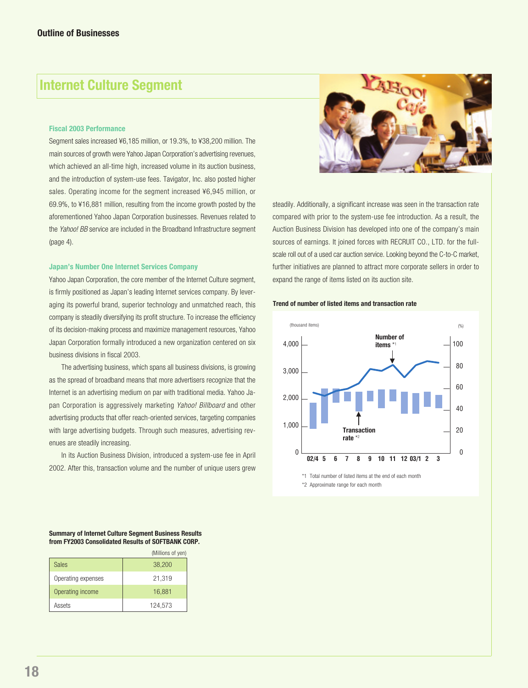# **Internet Culture Segment**

#### **Fiscal 2003 Performance**

Segment sales increased ¥6,185 million, or 19.3%, to ¥38,200 million. The main sources of growth were Yahoo Japan Corporation's advertising revenues, which achieved an all-time high, increased volume in its auction business, and the introduction of system-use fees. Tavigator, Inc. also posted higher sales. Operating income for the segment increased ¥6,945 million, or 69.9%, to ¥16,881 million, resulting from the income growth posted by the aforementioned Yahoo Japan Corporation businesses. Revenues related to the Yahoo! BB service are included in the Broadband Infrastructure segment (page 4).

#### **Japan's Number One Internet Services Company**

Yahoo Japan Corporation, the core member of the Internet Culture segment, is firmly positioned as Japan's leading Internet services company. By leveraging its powerful brand, superior technology and unmatched reach, this company is steadily diversifying its profit structure. To increase the efficiency of its decision-making process and maximize management resources, Yahoo Japan Corporation formally introduced a new organization centered on six business divisions in fiscal 2003.

The advertising business, which spans all business divisions, is growing as the spread of broadband means that more advertisers recognize that the Internet is an advertising medium on par with traditional media. Yahoo Japan Corporation is aggressively marketing Yahoo! Billboard and other advertising products that offer reach-oriented services, targeting companies with large advertising budgets. Through such measures, advertising revenues are steadily increasing.

In its Auction Business Division, introduced a system-use fee in April 2002. After this, transaction volume and the number of unique users grew



steadily. Additionally, a significant increase was seen in the transaction rate compared with prior to the system-use fee introduction. As a result, the Auction Business Division has developed into one of the company's main sources of earnings. It joined forces with RECRUIT CO., LTD, for the fullscale roll out of a used car auction service. Looking beyond the C-to-C market, further initiatives are planned to attract more corporate sellers in order to expand the range of items listed on its auction site.

#### **Trend of number of listed items and transaction rate**



**Summary of Internet Culture Segment Business Results from FY2003 Consolidated Results of SOFTBANK CORP.**

|                    | (Millions of yen) |
|--------------------|-------------------|
| <b>Sales</b>       | 38,200            |
| Operating expenses | 21,319            |
| Operating income   | 16,881            |
| Assets             | 124,573           |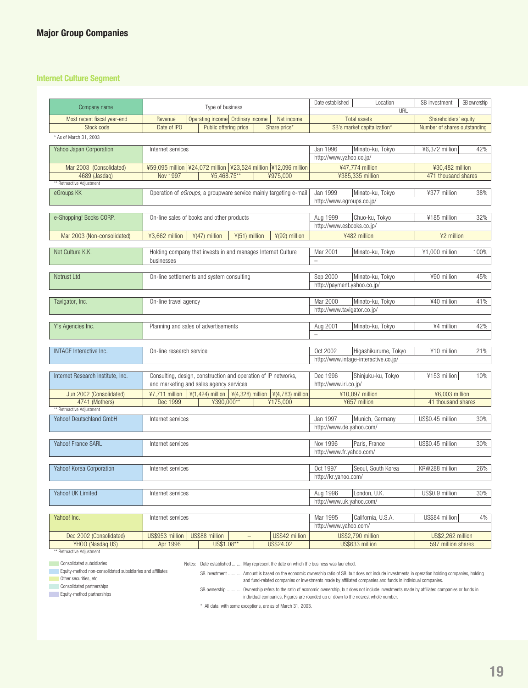### **Internet Culture Segment**

| Company name                      | Type of business                     |                                                                                        |                | Date established                      | Location                    | SB investment                | SB ownership |
|-----------------------------------|--------------------------------------|----------------------------------------------------------------------------------------|----------------|---------------------------------------|-----------------------------|------------------------------|--------------|
| Most recent fiscal year-end       | Revenue                              | Operating income Ordinary income                                                       | Net income     | URL<br><b>Total assets</b>            |                             | Shareholders' equity         |              |
| Stock code                        | Date of IPO                          | Public offering price                                                                  | Share price*   |                                       | SB's market capitalization* | Number of shares outstanding |              |
| * As of March 31, 2003            |                                      |                                                                                        |                |                                       |                             |                              |              |
|                                   |                                      |                                                                                        |                |                                       |                             |                              |              |
| Yahoo Japan Corporation           | Internet services                    |                                                                                        |                | Jan 1996                              | Minato-ku, Tokyo            | ¥6,372 million               | 42%          |
|                                   |                                      |                                                                                        |                |                                       | http://www.yahoo.co.jp/     |                              |              |
| Mar 2003 (Consolidated)           |                                      | ¥59,095 million   ¥24,072 million   ¥23,524 million   ¥12,096 million                  |                | ¥47,774 million                       |                             | ¥30,482 million              |              |
| 4689 (Jasdaq)                     | <b>Nov 1997</b>                      | ¥5,468.75**                                                                            | ¥975,000       |                                       | ¥385,335 million            | 471 thousand shares          |              |
| ** Retroactive Adjustment         |                                      |                                                                                        |                |                                       |                             |                              |              |
| eGroups KK                        |                                      | Operation of <i>eGroups</i> , a groupware service mainly targeting e-mail              |                | Jan 1999                              | Minato-ku, Tokyo            | ¥377 million                 | 38%          |
|                                   |                                      |                                                                                        |                | http://www.egroups.co.jp/             |                             |                              |              |
|                                   |                                      |                                                                                        |                |                                       |                             |                              |              |
| e-Shopping! Books CORP.           |                                      | On-line sales of books and other products                                              |                | Aug 1999<br>http://www.esbooks.co.jp/ | Chuo-ku, Tokyo              | ¥185 million                 | 32%          |
|                                   |                                      |                                                                                        |                |                                       |                             |                              |              |
| Mar 2003 (Non-consolidated)       | ¥3,662 million                       | $*(51)$ million<br>$\frac{1}{2}(47)$ million                                           | ¥(92) million  |                                       | ¥482 million                | ¥2 million                   |              |
| Net Culture K.K.                  |                                      | Holding company that invests in and manages Internet Culture                           |                | Mar 2001                              | Minato-ku, Tokyo            | ¥1,000 million               | 100%         |
|                                   | businesses                           |                                                                                        |                | $\overline{\phantom{0}}$              |                             |                              |              |
|                                   |                                      |                                                                                        |                |                                       |                             |                              |              |
| Netrust Ltd.                      |                                      | On-line settlements and system consulting                                              |                | Sep 2000                              | Minato-ku, Tokyo            | ¥90 million                  | 45%          |
|                                   |                                      |                                                                                        |                | http://payment.yahoo.co.jp/           |                             |                              |              |
|                                   |                                      |                                                                                        |                |                                       |                             |                              |              |
| Tavigator, Inc.                   | On-line travel agency                |                                                                                        |                | Mar 2000                              | Minato-ku, Tokyo            | ¥40 million                  | 41%          |
|                                   |                                      |                                                                                        |                | http://www.tavigator.co.jp/           |                             |                              |              |
|                                   |                                      |                                                                                        |                |                                       |                             |                              |              |
| Y's Agencies Inc.                 | Planning and sales of advertisements |                                                                                        |                | Aug 2001                              | Minato-ku, Tokyo            | ¥4 million                   | 42%          |
|                                   |                                      |                                                                                        |                | $\overline{\phantom{0}}$              |                             |                              |              |
| <b>INTAGE Interactive Inc.</b>    | On-line research service             |                                                                                        |                | Oct 2002                              | Higashikurume, Tokyo        | ¥10 million                  | 21%          |
|                                   |                                      |                                                                                        |                | http://www.intage-interactive.co.jp/  |                             |                              |              |
|                                   |                                      |                                                                                        |                |                                       |                             |                              |              |
| Internet Research Institute, Inc. |                                      | Consulting, design, construction and operation of IP networks,                         |                | Dec 1996                              | Shinjuku-ku, Tokyo          | ¥153 million                 | 10%          |
|                                   |                                      | and marketing and sales agency services                                                |                | http://www.iri.co.jp/                 |                             |                              |              |
| Jun 2002 (Consolidated)           | ¥7,711 million                       | $\frac{1}{2}(1,424)$ million $\frac{1}{2}(4,328)$ million $\frac{1}{2}(4,783)$ million |                |                                       | ¥10,097 million             | ¥6,003 million               |              |
| 4741 (Mothers)                    | Dec 1999                             | ¥390,000**                                                                             | ¥175,000       |                                       | ¥657 million                | 41 thousand shares           |              |
| ** Retroactive Adjustment         |                                      |                                                                                        |                |                                       |                             |                              |              |
| Yahoo! Deutschland GmbH           | Internet services                    |                                                                                        |                | Jan 1997                              | Munich, Germany             | US\$0.45 million             | 30%          |
|                                   |                                      |                                                                                        |                | http://www.de.yahoo.com/              |                             |                              |              |
|                                   |                                      |                                                                                        |                |                                       |                             |                              |              |
| Yahoo! France SARL                | Internet services                    |                                                                                        |                | Nov 1996                              | Paris, France               | US\$0.45 million             | 30%          |
|                                   |                                      |                                                                                        |                | http://www.fr.yahoo.com/              |                             |                              |              |
|                                   |                                      |                                                                                        |                |                                       |                             |                              |              |
| Yahoo! Korea Corporation          | Internet services                    |                                                                                        |                | Oct 1997<br>http://kr.yahoo.com/      | Seoul, South Korea          | KRW288 million               | 26%          |
|                                   |                                      |                                                                                        |                |                                       |                             |                              |              |
| Yahoo! UK Limited                 | Internet services                    |                                                                                        |                | Aug 1996                              | London, U.K.                | US\$0.9 million              | 30%          |
|                                   |                                      |                                                                                        |                | http://www.uk.yahoo.com/              |                             |                              |              |
|                                   |                                      |                                                                                        |                |                                       |                             |                              |              |
| Yahoo! Inc.                       | Internet services                    |                                                                                        |                | Mar 1995                              | California, U.S.A.          | US\$84 million               | 4%           |
|                                   |                                      |                                                                                        |                | http://www.yahoo.com/                 |                             |                              |              |
| Dec 2002 (Consolidated)           | US\$953 million                      | US\$88 million                                                                         | US\$42 million |                                       | US\$2,790 million           | <b>US\$2,262 million</b>     |              |
| YHOO (Nasdaq US)                  | Apr 1996                             | US\$1.08**                                                                             | US\$24.02      |                                       | US\$633 million             | 597 million shares           |              |
| ** Retroactive Adiustment         |                                      |                                                                                        |                |                                       |                             |                              |              |

**Consolidated subsidiaries** 

Notes: Date established ........ May represent the date on which the business was launched.

**Equity-method non-consolidated subsidiaries and affiliates Other securities, etc.** 

**Consolidated partnerships** 

Equity-method partnerships

SB investment ........... Amount is based on the economic ownership ratio of SB, but does not include investments in operation holding companies, holding and fund-related companies or investments made by affiliated companies and funds in individual companies.

SB ownership ............ Ownership refers to the ratio of economic ownership, but does not include investments made by affiliated companies or funds in individual companies. Figures are rounded up or down to the nearest whole number.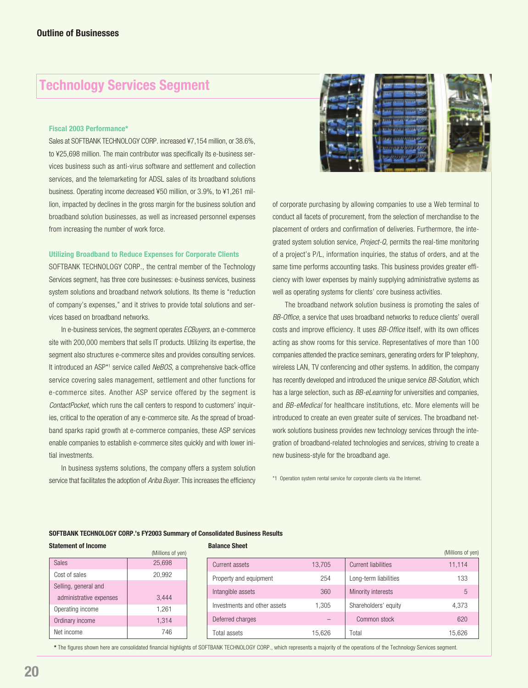# **Technology Services Segment**

#### **Fiscal 2003 Performance\***

Sales at SOFTBANK TECHNOLOGY CORP. increased ¥7,154 million, or 38.6%, to ¥25,698 million. The main contributor was specifically its e-business services business such as anti-virus software and settlement and collection services, and the telemarketing for ADSL sales of its broadband solutions business. Operating income decreased ¥50 million, or 3.9%, to ¥1,261 million, impacted by declines in the gross margin for the business solution and broadband solution businesses, as well as increased personnel expenses from increasing the number of work force.

#### **Utilizing Broadband to Reduce Expenses for Corporate Clients**

SOFTBANK TECHNOLOGY CORP., the central member of the Technology Services segment, has three core businesses: e-business services, business system solutions and broadband network solutions. Its theme is "reduction of company's expenses," and it strives to provide total solutions and services based on broadband networks.

In e-business services, the segment operates ECBuyers, an e-commerce site with 200,000 members that sells IT products. Utilizing its expertise, the segment also structures e-commerce sites and provides consulting services. It introduced an ASP\*1 service called NeBOS, a comprehensive back-office service covering sales management, settlement and other functions for e-commerce sites. Another ASP service offered by the segment is ContactPocket, which runs the call centers to respond to customers' inquiries, critical to the operation of any e-commerce site. As the spread of broadband sparks rapid growth at e-commerce companies, these ASP services enable companies to establish e-commerce sites quickly and with lower initial investments.

In business systems solutions, the company offers a system solution service that facilitates the adoption of Ariba Buyer. This increases the efficiency



of corporate purchasing by allowing companies to use a Web terminal to conduct all facets of procurement, from the selection of merchandise to the placement of orders and confirmation of deliveries. Furthermore, the integrated system solution service, Project-Q, permits the real-time monitoring of a project's P/L, information inquiries, the status of orders, and at the same time performs accounting tasks. This business provides greater efficiency with lower expenses by mainly supplying administrative systems as well as operating systems for clients' core business activities.

The broadband network solution business is promoting the sales of BB-Office, a service that uses broadband networks to reduce clients' overall costs and improve efficiency. It uses BB-Office itself, with its own offices acting as show rooms for this service. Representatives of more than 100 companies attended the practice seminars, generating orders for IP telephony, wireless LAN, TV conferencing and other systems. In addition, the company has recently developed and introduced the unique service BB-Solution, which has a large selection, such as *BB-eLearning* for universities and companies, and BB-eMedical for healthcare institutions, etc. More elements will be introduced to create an even greater suite of services. The broadband network solutions business provides new technology services through the integration of broadband-related technologies and services, striving to create a new business-style for the broadband age.

\*1 Operation system rental service for corporate clients via the Internet.

#### **SOFTBANK TECHNOLOGY CORP.'s FY2003 Summary of Consolidated Business Results**

|--|

|                         | (Millions of yen) |
|-------------------------|-------------------|
| <b>Sales</b>            | 25,698            |
| Cost of sales           | 20,992            |
| Selling, general and    |                   |
| administrative expenses | 3,444             |
| Operating income        | 1,261             |
| Ordinary income         | 1.314             |
| Net income              | 746               |

|  |  |  |  | <b>Balance Sheet</b> |  |
|--|--|--|--|----------------------|--|
|--|--|--|--|----------------------|--|

| vaianvu viitut               |        |                            | (Millions of yen) |
|------------------------------|--------|----------------------------|-------------------|
| Current assets               | 13.705 | <b>Current liabilities</b> | 11,114            |
| Property and equipment       | 254    | Long-term liabilities      | 133               |
| Intangible assets            | 360    | Minority interests         | 5                 |
| Investments and other assets | 1.305  | Shareholders' equity       | 4.373             |
| Deferred charges             |        | Common stock               | 620               |
| Total assets                 | 15.626 | Total                      | 15.626            |

**\*** The figures shown here are consolidated financial highlights of SOFTBANK TECHNOLOGY CORP., which represents a majority of the operations of the Technology Services segment.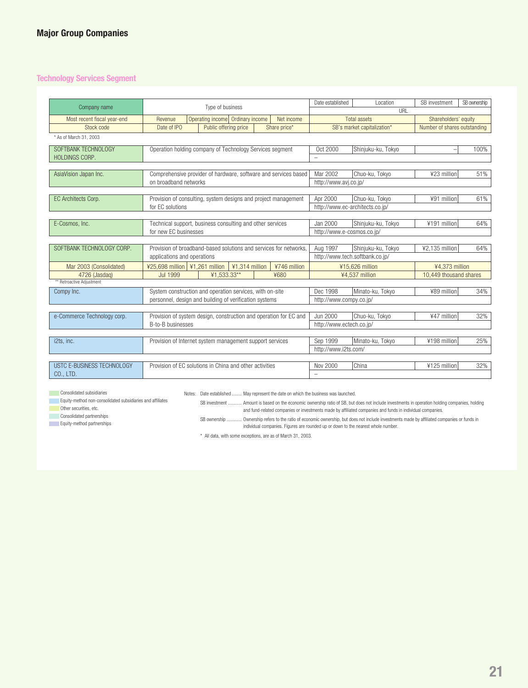### **Technology Services Segment**

| Company name                |                                                           | Type of business                                                  |  |                      | Date established                | Location                    | SB investment                | SB ownership |
|-----------------------------|-----------------------------------------------------------|-------------------------------------------------------------------|--|----------------------|---------------------------------|-----------------------------|------------------------------|--------------|
|                             |                                                           |                                                                   |  |                      |                                 | URL                         |                              |              |
| Most recent fiscal year-end | Revenue                                                   | Operating income Ordinary income                                  |  | Net income           |                                 | <b>Total assets</b>         | Shareholders' equity         |              |
| Stock code                  | Date of IPO                                               | Public offering price                                             |  | Share price*         |                                 | SB's market capitalization* | Number of shares outstanding |              |
| * As of March 31, 2003      |                                                           |                                                                   |  |                      |                                 |                             |                              |              |
| SOFTBANK TECHNOLOGY         |                                                           | Operation holding company of Technology Services segment          |  |                      | Oct 2000                        | Shinjuku-ku, Tokyo          |                              | 100%         |
| <b>HOLDINGS CORP.</b>       |                                                           |                                                                   |  |                      | $\overline{\phantom{0}}$        |                             |                              |              |
|                             |                                                           |                                                                   |  |                      |                                 |                             |                              |              |
| AsiaVision Japan Inc.       |                                                           | Comprehensive provider of hardware, software and services based   |  |                      | Mar 2002                        | Chuo-ku, Tokyo              | ¥23 million                  | 51%          |
|                             | on broadband networks                                     |                                                                   |  |                      | http://www.avj.co.jp/           |                             |                              |              |
|                             |                                                           |                                                                   |  |                      |                                 |                             |                              |              |
| EC Architects Corp.         |                                                           | Provision of consulting, system designs and project management    |  |                      | Apr 2000                        | Chuo-ku, Tokyo              | ¥91 million                  | 61%          |
|                             | for EC solutions                                          |                                                                   |  |                      | http://www.ec-architects.co.jp/ |                             |                              |              |
|                             |                                                           |                                                                   |  |                      |                                 |                             |                              |              |
| E-Cosmos, Inc.              | Technical support, business consulting and other services |                                                                   |  | Jan 2000             | Shinjuku-ku, Tokyo              | ¥191 million                | 64%                          |              |
|                             | for new EC businesses                                     |                                                                   |  |                      | http://www.e-cosmos.co.jp/      |                             |                              |              |
|                             |                                                           |                                                                   |  |                      |                                 |                             |                              |              |
| SOFTBANK TECHNOLOGY CORP.   |                                                           | Provision of broadband-based solutions and services for networks. |  |                      | Aug 1997                        | Shinjuku-ku, Tokyo          | ¥2.135 million               | 64%          |
|                             | applications and operations                               |                                                                   |  |                      | http://www.tech.softbank.co.jp/ |                             |                              |              |
| Mar 2003 (Consolidated)     | ¥25,698 million   ¥1,261 million                          | ¥1,314 million                                                    |  | ¥746 million         |                                 | ¥15,626 million             | ¥4.373 million               |              |
| 4726 (Jasdaq)               | <b>Jul 1999</b>                                           | ¥1.533.33**                                                       |  | ¥680                 |                                 | ¥4,537 million              | 10.449 thousand shares       |              |
| ** Retroactive Adjustment   |                                                           |                                                                   |  |                      |                                 |                             |                              |              |
| Compy Inc.                  |                                                           | System construction and operation services, with on-site          |  |                      | Dec 1998                        | Minato-ku, Tokyo            | ¥89 million                  | 34%          |
|                             |                                                           | personnel, design and building of verification systems            |  |                      | http://www.compy.co.jp/         |                             |                              |              |
|                             |                                                           |                                                                   |  |                      |                                 |                             |                              |              |
| e-Commerce Technology corp. |                                                           | Provision of system design, construction and operation for EC and |  |                      | Jun 2000                        | Chuo-ku, Tokyo              | ¥47 million                  | 32%          |
|                             | B-to-B businesses                                         |                                                                   |  |                      | http://www.ectech.co.jp/        |                             |                              |              |
|                             |                                                           |                                                                   |  |                      |                                 |                             |                              |              |
| i2ts. inc.                  | Provision of Internet system management support services  |                                                                   |  | Sep 1999             | Minato-ku, Tokyo                | ¥198 million                | 25%                          |              |
|                             |                                                           |                                                                   |  | http://www.i2ts.com/ |                                 |                             |                              |              |
|                             |                                                           |                                                                   |  |                      |                                 |                             |                              |              |
| USTC E-BUSINESS TECHNOLOGY  |                                                           | Provision of EC solutions in China and other activities           |  |                      | Nov 2000                        | China                       | ¥125 million                 | 32%          |
| CO., LTD.                   |                                                           |                                                                   |  |                      | $\overline{\phantom{0}}$        |                             |                              |              |

**Consolidated subsidiaries** 

Notes: Date established ........ May represent the date on which the business was launched.

**Equity-method non-consolidated subsidiaries and affiliates** 

SB investment ........... Amount is based on the economic ownership ratio of SB, but does not include investments in operation holding companies, holding

**Other securities, etc. Consolidated partnerships** 

Equity-method partnerships

SB ownership ............ Ownership refers to the ratio of economic ownership, but does not include investments made by affiliated companies or funds in individual companies. Figures are rounded up or down to the nearest whole number.

and fund-related companies or investments made by affiliated companies and funds in individual companies.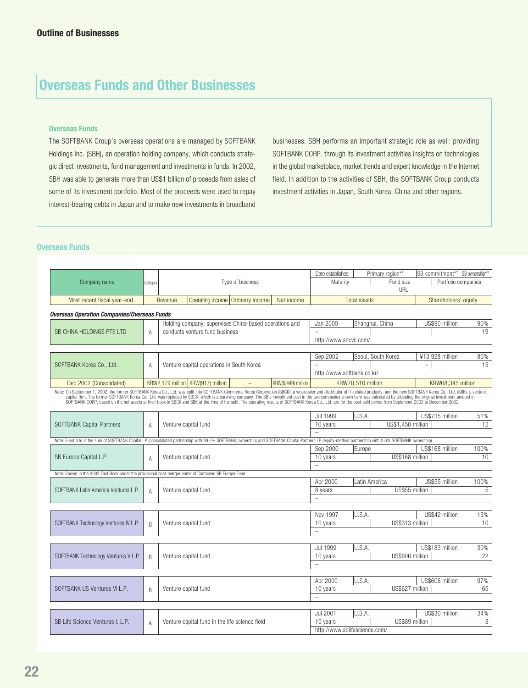# **Overseas Funds and Other Businesses**

#### **Overseas Funds**

The SOFTBANK Group's overseas operations are managed by SOFTBANK Holdings Inc. (SBH), an operation holding company, which conducts strategic direct investments, fund management and investments in funds. In 2002, SBH was able to generate more than US\$1 billion of proceeds from sales of some of its investment portfolio. Most of the proceeds were used to repay interest-bearing debts in Japan and to make new investments in broadband

businesses. SBH performs an important strategic role as well: providing SOFTBANK CORP. through its investment activities insights on technologies in the global marketplace, market trends and expert knowledge in the Internet field. In addition to the activities of SBH, the SOFTBANK Group conducts investment activities in Japan, South Korea, China and other regions.

#### **Overseas Funds**

|                                                                                                                                                                                                                               |              |                      |                                                        |                    | Date established                    |                     | Primary region*1   |                          | SB commitment <sup>*2</sup> SB ownership <sup>*3</sup> |           |
|-------------------------------------------------------------------------------------------------------------------------------------------------------------------------------------------------------------------------------|--------------|----------------------|--------------------------------------------------------|--------------------|-------------------------------------|---------------------|--------------------|--------------------------|--------------------------------------------------------|-----------|
| Company name                                                                                                                                                                                                                  | Category     |                      | Type of business                                       |                    | Maturity                            |                     | Fund size<br>URI   |                          | Portfolio companies                                    |           |
|                                                                                                                                                                                                                               |              |                      |                                                        |                    |                                     |                     |                    |                          |                                                        |           |
| Most recent fiscal year-end                                                                                                                                                                                                   |              | Revenue              | Ordinary income<br>Operating income                    | Net income         |                                     | <b>Total assets</b> |                    |                          | Shareholders' equity                                   |           |
| <b>Overseas Operation Companies/Overseas Funds</b>                                                                                                                                                                            |              |                      |                                                        |                    |                                     |                     |                    |                          |                                                        |           |
|                                                                                                                                                                                                                               |              |                      | Holding company; supervises China-based operations and |                    | Jan 2000                            |                     | Shanghai, China    |                          | US\$90 million                                         | 90%       |
| SB CHINA HOLDINGS PTE LTD                                                                                                                                                                                                     | A            |                      | conducts venture fund business                         |                    | $\overline{a}$                      |                     |                    |                          |                                                        | 19        |
|                                                                                                                                                                                                                               |              |                      |                                                        |                    | http://www.sbcvc.com/               |                     |                    |                          |                                                        |           |
|                                                                                                                                                                                                                               |              |                      |                                                        |                    |                                     |                     |                    |                          |                                                        |           |
|                                                                                                                                                                                                                               |              |                      |                                                        |                    | Sep 2002                            |                     | Seoul. South Korea |                          | ¥13,928 million                                        | 80%       |
| SOFTBANK Korea Co., Ltd.                                                                                                                                                                                                      | A            |                      | Venture capital operations in South Korea              |                    | http://www.softbank.co.kr/          |                     |                    | $\overline{\phantom{0}}$ |                                                        | 15        |
|                                                                                                                                                                                                                               |              |                      |                                                        |                    |                                     |                     |                    |                          |                                                        |           |
| Dec 2002 (Consolidated)                                                                                                                                                                                                       |              |                      | KRW2.179 million   KRW(917) million                    | KRW(6.449) million |                                     | KRW70.510 million   |                    |                          | KRW68.345 million                                      |           |
| Note: On September 1, 2002, the former SOFTBANK Korea Co., Ltd. was split into SOFTBANK Commerce Korea Corporation (SBCK), a wholesaler and distributor of IT-related products, and the new SOFTBANK Korea Co., Ltd. (SBK), a |              |                      |                                                        |                    |                                     |                     |                    |                          |                                                        |           |
|                                                                                                                                                                                                                               |              |                      |                                                        |                    |                                     |                     |                    |                          |                                                        |           |
|                                                                                                                                                                                                                               |              |                      |                                                        |                    | Jul 1999                            | U.S.A.              |                    |                          | US\$735 million                                        | 51%       |
| <b>SOFTBANK Capital Partners</b>                                                                                                                                                                                              | $\mathsf{A}$ |                      | Venture capital fund                                   |                    | 10 years                            |                     | US\$1,450 million  |                          |                                                        | 12        |
|                                                                                                                                                                                                                               |              |                      |                                                        |                    |                                     |                     |                    |                          |                                                        |           |
| Note: Fund size is the sum of SOFTBANK Capital LP (consolidated partnership with 99.6% SOFTBANK ownership) and SOFTBANK Capital Partners LP (equity-method partnership with 2.6% SOFTBANK ownership).                         |              |                      |                                                        |                    |                                     |                     |                    |                          |                                                        |           |
|                                                                                                                                                                                                                               |              |                      |                                                        |                    | Sep 2000                            | Europe              |                    |                          | US\$168 million                                        | 100%      |
| SB Europe Capital L.P.                                                                                                                                                                                                        | A            |                      | Venture capital fund                                   |                    | 10 years                            |                     | US\$168 million    |                          |                                                        | 10        |
|                                                                                                                                                                                                                               |              |                      |                                                        |                    | $\overline{a}$                      |                     |                    |                          |                                                        |           |
| Note: Shown in the 2002 Fact Book under the provisional post-merger name of Combined SB Europe Fund.                                                                                                                          |              |                      |                                                        |                    |                                     |                     |                    |                          |                                                        |           |
|                                                                                                                                                                                                                               |              |                      |                                                        |                    | Apr 2000                            |                     | Latin America      |                          | US\$55 million                                         | 100%      |
| SOFTBANK Latin America Ventures L.P.                                                                                                                                                                                          | $\mathbb{A}$ |                      | Venture capital fund                                   |                    | 8 years<br>$\overline{\phantom{0}}$ |                     | US\$55 million     |                          |                                                        | 5         |
|                                                                                                                                                                                                                               |              |                      |                                                        |                    |                                     |                     |                    |                          |                                                        |           |
|                                                                                                                                                                                                                               |              |                      |                                                        |                    | Nov 1997                            | U.S.A.              |                    |                          | US\$42 million                                         | 13%       |
| SOFTBANK Technology Ventures IV L.P.                                                                                                                                                                                          | B            |                      | Venture capital fund                                   |                    | 10 years                            |                     | US\$313 million    |                          |                                                        | 10        |
|                                                                                                                                                                                                                               |              |                      |                                                        |                    | $\equiv$                            |                     |                    |                          |                                                        |           |
|                                                                                                                                                                                                                               |              |                      |                                                        |                    |                                     |                     |                    |                          |                                                        |           |
|                                                                                                                                                                                                                               |              |                      |                                                        |                    | Jul 1999                            | U.S.A.              |                    |                          | US\$183 million                                        | 30%       |
| SOFTBANK Technology Ventures V L.P.                                                                                                                                                                                           | B            |                      | Venture capital fund                                   |                    | 10 years                            |                     | US\$606 million    |                          |                                                        | 22        |
|                                                                                                                                                                                                                               |              |                      |                                                        |                    | $\overline{a}$                      |                     |                    |                          |                                                        |           |
|                                                                                                                                                                                                                               |              |                      |                                                        |                    |                                     |                     |                    |                          |                                                        |           |
| SOFTBANK US Ventures VI L.P.                                                                                                                                                                                                  |              |                      |                                                        |                    | Apr 2000<br>10 years                | U.S.A.              | US\$627 million    |                          | US\$608 million                                        | 97%<br>65 |
|                                                                                                                                                                                                                               | B            | Venture capital fund |                                                        |                    | $\overline{a}$                      |                     |                    |                          |                                                        |           |
|                                                                                                                                                                                                                               |              |                      |                                                        |                    |                                     |                     |                    |                          |                                                        |           |
|                                                                                                                                                                                                                               |              |                      |                                                        |                    | <b>Jul 2001</b>                     | U.S.A.              |                    |                          | US\$30 million                                         | 34%       |
| SB Life Science Ventures I, L.P.                                                                                                                                                                                              | $\mathsf{A}$ |                      | Venture capital fund in the life science field         |                    | 10 years                            |                     | US\$89 million     |                          |                                                        | 8         |
|                                                                                                                                                                                                                               |              |                      |                                                        |                    | http://www.sblifescience.com/       |                     |                    |                          |                                                        |           |
|                                                                                                                                                                                                                               |              |                      |                                                        |                    |                                     |                     |                    |                          |                                                        |           |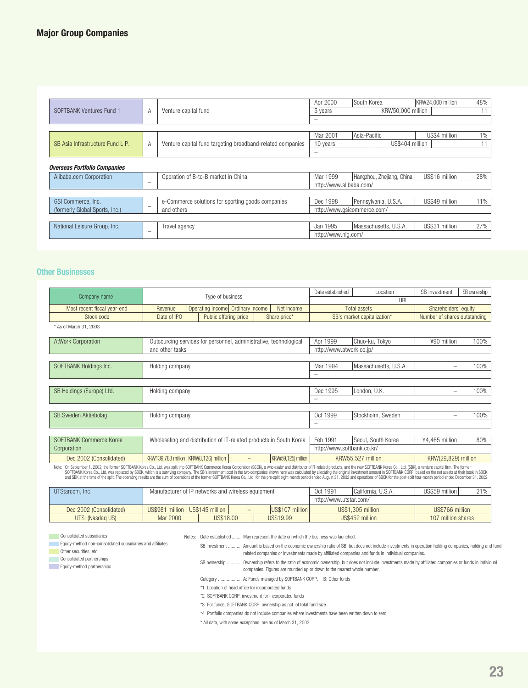|                                     |                           |                                                            | Apr 2000                    | South Korea  |                           | KRW24.000 million | 48%   |
|-------------------------------------|---------------------------|------------------------------------------------------------|-----------------------------|--------------|---------------------------|-------------------|-------|
| SOFTBANK Ventures Fund 1            | Venture capital fund<br>A |                                                            | 5 years                     |              | KRW50.000 million         |                   | 11    |
|                                     |                           |                                                            | -                           |              |                           |                   |       |
|                                     |                           |                                                            |                             |              |                           |                   |       |
|                                     |                           |                                                            | Mar 2001                    | Asia-Pacific |                           | US\$4 million     | $1\%$ |
| SB Asia Infrastructure Fund L.P.    | A                         | Venture capital fund targeting broadband-related companies | 10 years                    |              | US\$404 million           |                   | 11    |
|                                     |                           |                                                            |                             |              |                           |                   |       |
|                                     |                           |                                                            |                             |              |                           |                   |       |
| <b>Overseas Portfolio Companies</b> |                           |                                                            |                             |              |                           |                   |       |
| Alibaba.com Corporation             |                           | Operation of B-to-B market in China                        | Mar 1999                    |              | Hangzhou, Zhejiang, China | US\$16 million    | 28%   |
|                                     | $\overline{\phantom{0}}$  |                                                            | http://www.alibaba.com/     |              |                           |                   |       |
|                                     |                           |                                                            |                             |              |                           |                   |       |
| GSI Commerce, Inc.                  |                           | e-Commerce solutions for sporting goods companies          | Dec 1998                    |              | Pennsylvania, U.S.A.      | US\$49 million    | 11%   |
| (formerly Global Sports, Inc.)      | $\overline{\phantom{0}}$  | and others                                                 | http://www.gsicommerce.com/ |              |                           |                   |       |
|                                     |                           |                                                            |                             |              |                           |                   |       |
| National Leisure Group, Inc.        |                           | Travel agency                                              | Jan 1995                    |              | Massachusetts, U.S.A.     | US\$31 million    | 27%   |
|                                     | $\overline{\phantom{0}}$  |                                                            | http://www.nlg.com/         |              |                           |                   |       |

### **Other Businesses**

|                                                                                                                                                                                                                                                      |                                                                    | Date established | Location                   | SB investment               | SB ownership                 |      |  |  |
|------------------------------------------------------------------------------------------------------------------------------------------------------------------------------------------------------------------------------------------------------|--------------------------------------------------------------------|------------------|----------------------------|-----------------------------|------------------------------|------|--|--|
| Company name                                                                                                                                                                                                                                         | Type of business                                                   |                  |                            |                             | URI                          |      |  |  |
| Most recent fiscal year-end                                                                                                                                                                                                                          | Operating income Ordinary income<br>Revenue                        | Net income       |                            | <b>Total assets</b>         | Shareholders' equity         |      |  |  |
| Stock code                                                                                                                                                                                                                                           | Date of IPO<br>Public offering price                               | Share price*     |                            | SB's market capitalization* | Number of shares outstanding |      |  |  |
| * As of March 31, 2003                                                                                                                                                                                                                               |                                                                    |                  |                            |                             |                              |      |  |  |
| <b>AtWork Corporation</b>                                                                                                                                                                                                                            | Outsourcing services for personnel, administrative, technological  |                  | Apr 1999                   | Chuo-ku, Tokyo              | ¥90 million                  | 100% |  |  |
|                                                                                                                                                                                                                                                      | and other tasks                                                    |                  | http://www.atwork.co.jp/   |                             |                              |      |  |  |
|                                                                                                                                                                                                                                                      |                                                                    |                  |                            |                             |                              |      |  |  |
| SOFTBANK Holdings Inc.                                                                                                                                                                                                                               | Holding company                                                    |                  | Mar 1994                   | Massachusetts, U.S.A.       | $\qquad \qquad -$            | 100% |  |  |
|                                                                                                                                                                                                                                                      |                                                                    |                  |                            |                             |                              |      |  |  |
|                                                                                                                                                                                                                                                      |                                                                    |                  |                            |                             |                              |      |  |  |
| SB Holdings (Europe) Ltd.                                                                                                                                                                                                                            | Holding company                                                    |                  | Dec 1995                   | London, U.K.                | $\qquad \qquad -$            | 100% |  |  |
|                                                                                                                                                                                                                                                      |                                                                    |                  | -                          |                             |                              |      |  |  |
|                                                                                                                                                                                                                                                      |                                                                    |                  |                            |                             |                              |      |  |  |
| <b>SB Sweden Aktiebolag</b>                                                                                                                                                                                                                          | Holding company                                                    |                  | Oct 1999                   | Stockholm, Sweden           | $\qquad \qquad -$            | 100% |  |  |
|                                                                                                                                                                                                                                                      |                                                                    |                  | -                          |                             |                              |      |  |  |
|                                                                                                                                                                                                                                                      |                                                                    |                  |                            |                             |                              |      |  |  |
| SOFTBANK Commerce Korea                                                                                                                                                                                                                              | Wholesaling and distribution of IT-related products in South Korea |                  | Feb 1991                   | Seoul. South Korea          | ¥4.465 million               | 80%  |  |  |
| Corporation                                                                                                                                                                                                                                          |                                                                    |                  | http://www.softbank.co.kr/ |                             |                              |      |  |  |
| Dec 2002 (Consolidated)                                                                                                                                                                                                                              | KRW139,783 million   KRW(8,126) million                            |                  | KRW55.527 million          | KRW(29,829) million         |                              |      |  |  |
| KRW(59,125) million<br>Note: On September 1, 2002, the former SOFTBANK Korea Co., Ltd. was split into SOFTBANK Commerce Korea Corporation (SBCK), a wholesaler and distributor of IT-related products, and the new SOFTBANK Korea Co., Ltd. (SBK), a |                                                                    |                  |                            |                             |                              |      |  |  |

Note: On September 1, 2002, the former SOFTBANK Korea Co., Ltd. was split into SOFTBANK Commerce Korea Corporation (SBCK), a wholesaler and distributor of IT-related products, and the new SOFTBANK Korea Co., Ltd. (SBK), a

| UTStarcom, Inc.         | Manufacturer of IP networks and wireless equipment |           |     | Oct 1991        | <sup>1</sup> California, U.S.A. | US\$59 million    | $21\%$             |  |
|-------------------------|----------------------------------------------------|-----------|-----|-----------------|---------------------------------|-------------------|--------------------|--|
|                         |                                                    |           |     |                 | http://www.utstar.com/          |                   |                    |  |
| Dec 2002 (Consolidated) | US\$981 million US\$145 million                    |           | $-$ | US\$107 million |                                 | US\$1,305 million | US\$766 million    |  |
| UTSI (Nasdag US)        | Mar 2000                                           | US\$18.00 |     | US\$19.99       |                                 | US\$452 million   | 107 million shares |  |

**Consolidated subsidiaries** 

Notes: Date established ........ May represent the date on which the business was launched.

Equity-method non-consolidated subsidiaries and affiliates

**Other securities, etc.** 

**Consolidated partnerships** Equity-method partnerships

Category ................... A: Funds managed by SOFTBANK CORP. B: Other funds

\*1 Location of head office for incorporated funds

\*2 SOFTBANK CORP. investment for incorporated funds

\*3 For funds, SOFTBANK CORP. ownership as pct. of total fund size

\*4 Portfolio companies do not include companies where investments have been written down to zero.

SB investment ........... Amount is based on the economic ownership ratio of SB, but does not include investments in operation holding companies, holding and fund-

SB ownership ............ Ownership refers to the ratio of economic ownership, but does not include investments made by affiliated companies or funds in individual

related companies or investments made by affiliated companies and funds in individual companies.

companies. Figures are rounded up or down to the nearest whole number.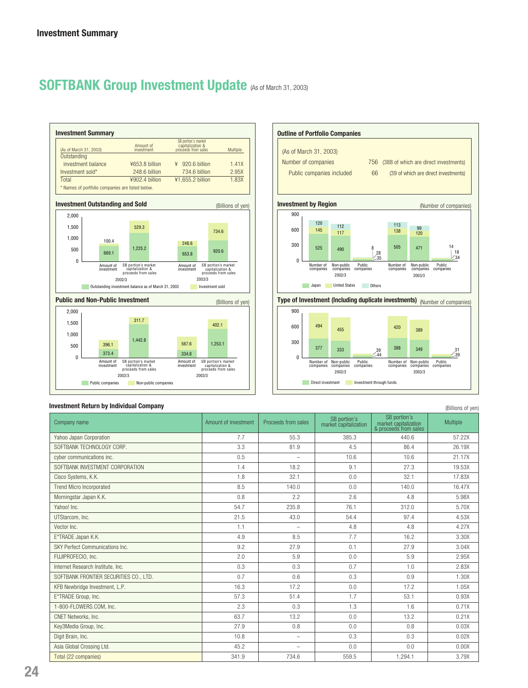# **SOFTBANK Group Investment Update** (As of March 31, 2003)





#### **Investment Return by Individual Company**

| <b>INVESUNGIN NGLUNI DY MUNICIAL COMPANY</b><br>(Billions of yen) |                      |                          |                                       |                                                                |          |  |  |  |
|-------------------------------------------------------------------|----------------------|--------------------------|---------------------------------------|----------------------------------------------------------------|----------|--|--|--|
| Company name                                                      | Amount of investment | Proceeds from sales      | SB portion's<br>market capitalization | SB portion's<br>market capitalization<br>& proceeds from sales | Multiple |  |  |  |
| Yahoo Japan Corporation                                           | 7.7                  | 55.3                     | 385.3                                 | 440.6                                                          | 57.22X   |  |  |  |
| SOFTBANK TECHNOLOGY CORP.                                         | 3.3                  | 81.9                     | 4.5                                   | 86.4                                                           | 26.19X   |  |  |  |
| cyber communications inc.                                         | 0.5                  | $\overline{\phantom{0}}$ | 10.6                                  | 10.6                                                           | 21.17X   |  |  |  |
| SOFTBANK INVESTMENT CORPORATION                                   | 1.4                  | 18.2                     | 9.1                                   | 27.3                                                           | 19.53X   |  |  |  |
| Cisco Systems, K.K.                                               | 1.8                  | 32.1                     | 0.0                                   | 32.1                                                           | 17.83X   |  |  |  |
| <b>Trend Micro Incorporated</b>                                   | 8.5                  | 140.0                    | 0.0                                   | 140.0                                                          | 16.47X   |  |  |  |
| Morningstar Japan K.K.                                            | 0.8                  | 2.2                      | 2.6                                   | 4.8                                                            | 5.98X    |  |  |  |
| Yahoo! Inc.                                                       | 54.7                 | 235.8                    | 76.1                                  | 312.0                                                          | 5.70X    |  |  |  |
| UTStarcom, Inc.                                                   | 21.5                 | 43.0                     | 54.4                                  | 97.4                                                           | 4.53X    |  |  |  |
| Vector Inc.                                                       | 1.1                  | $\overline{\phantom{m}}$ | 4.8                                   | 4.8                                                            | 4.27X    |  |  |  |
| E*TRADE Japan K.K.                                                | 4.9                  | 8.5                      | 7.7                                   | 16.2                                                           | 3.30X    |  |  |  |
| SKY Perfect Communications Inc.                                   | 9.2                  | 27.9                     | 0.1                                   | 27.9                                                           | 3.04X    |  |  |  |
| FUJIPROFECIO, Inc.                                                | 2.0                  | 5.9                      | 0.0                                   | 5.9                                                            | 2.95X    |  |  |  |
| Internet Research Institute, Inc.                                 | 0.3                  | 0.3                      | 0.7                                   | 1.0                                                            | 2.83X    |  |  |  |
| SOFTBANK FRONTIER SECURITIES CO., LTD.                            | 0.7                  | 0.6                      | 0.3                                   | 0.9                                                            | 1.30X    |  |  |  |
| KFB Newbridge Investment, L.P.                                    | 16.3                 | 17.2                     | 0.0                                   | 17.2                                                           | 1.05X    |  |  |  |
| E*TRADE Group, Inc.                                               | 57.3                 | 51.4                     | 1.7                                   | 53.1                                                           | 0.93X    |  |  |  |
| 1-800-FLOWERS.COM. Inc.                                           | 2.3                  | 0.3                      | 1.3                                   | 1.6                                                            | 0.71X    |  |  |  |
| CNET Networks, Inc.                                               | 63.7                 | 13.2                     | 0.0                                   | 13.2                                                           | 0.21X    |  |  |  |
| Key3Media Group, Inc.                                             | 27.9                 | 0.8                      | 0.0                                   | 0.8                                                            | 0.03X    |  |  |  |
| Digit Brain, Inc.                                                 | 10.8                 | $\equiv$                 | 0.3                                   | 0.3                                                            | 0.02X    |  |  |  |
| Asia Global Crossing Ltd.                                         | 45.2                 | $\overline{\phantom{m}}$ | 0.0                                   | 0.0                                                            | 0.00X    |  |  |  |
| Total (22 companies)                                              | 341.9                | 734.6                    | 559.5                                 | 1,294.1                                                        | 3.79X    |  |  |  |

**24**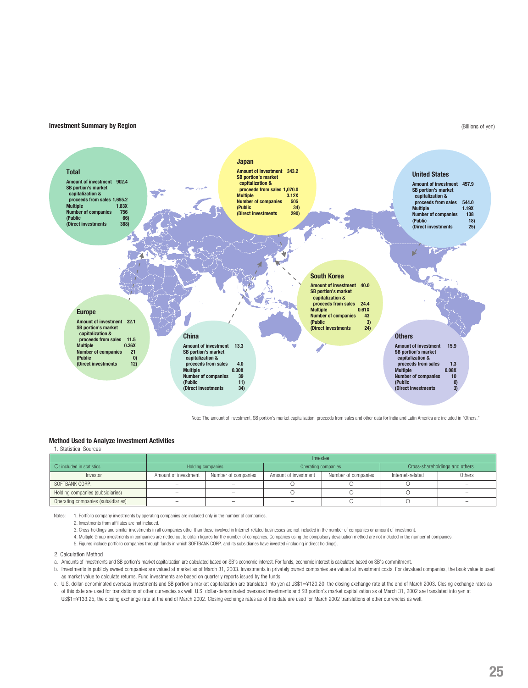#### **Investment Summary by Region**

#### (Billions of yen)



Note: The amount of investment, SB portion's market capitalization, proceeds from sales and other data for India and Latin America are included in "Others."

#### **Method Used to Analyze Investment Activities**

1. Statistical Sources

|                                    | Investee             |                     |                      |                     |                                |        |  |  |
|------------------------------------|----------------------|---------------------|----------------------|---------------------|--------------------------------|--------|--|--|
| O: included in statistics          | Holding companies    |                     | Operating companies  |                     | Cross-shareholdings and others |        |  |  |
| Investor                           | Amount of investment | Number of companies | Amount of investment | Number of companies | Internet-related               | Others |  |  |
| SOFTBANK CORP.                     |                      |                     |                      |                     |                                |        |  |  |
| Holding companies (subsidiaries)   | $\sim$               |                     |                      |                     |                                |        |  |  |
| Operating companies (subsidiaries) | -                    |                     | $\sim$               |                     |                                |        |  |  |

Notes: 1. Portfolio company investments by operating companies are included only in the number of companies.

2. Investments from affiliates are not included.

3. Cross-holdings and similar investments in all companies other than those involved in Internet-related businesses are not included in the number of companies or amount of investment.

- 4. Multiple Group investments in companies are netted out to obtain figures for the number of companies. Companies using the compulsory devaluation method are not included in the number of companies.
- 5. Figures include portfolio companies through funds in which SOFTBANK CORP. and its subsidiaries have invested (including indirect holdings).

#### 2. Calculation Method

- a. Amounts of investments and SB portion's market capitalization are calculated based on SB's economic interest. For funds, economic interest is calculated based on SB's commitment.
- b. Investments in publicly owned companies are valued at market as of March 31, 2003. Investments in privately owned companies are valued at investment costs. For devalued companies, the book value is used as market value to calculate returns. Fund investments are based on quarterly reports issued by the funds.
- c. U.S. dollar-denominated overseas investments and SB portion's market capitalization are translated into yen at US\$1=¥120.20, the closing exchange rate at the end of March 2003. Closing exchange rates as of this date are used for translations of other currencies as well. U.S. dollar-denominated overseas investments and SB portion's market capitalization as of March 31, 2002 are translated into yen at US\$1=¥133.25, the closing exchange rate at the end of March 2002. Closing exchange rates as of this date are used for March 2002 translations of other currencies as well.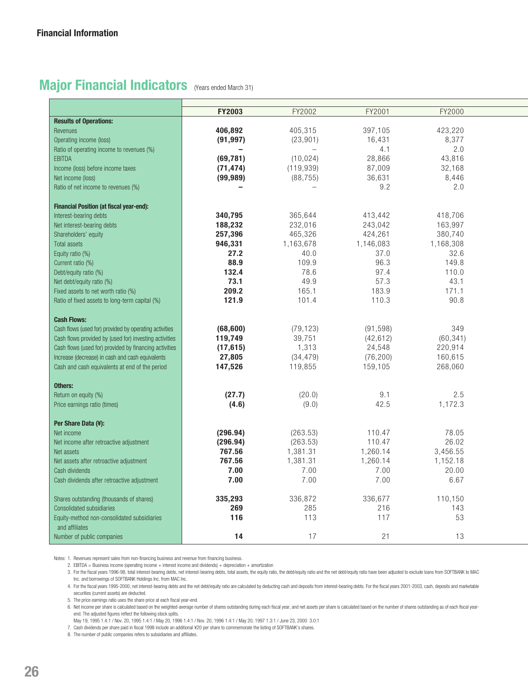# **Major Financial Indicators** (Years ended March 31)

|                                                        | FY2003    | FY2002     | FY2001    | FY2000    |  |
|--------------------------------------------------------|-----------|------------|-----------|-----------|--|
| <b>Results of Operations:</b>                          |           |            |           |           |  |
| Revenues                                               | 406,892   | 405,315    | 397,105   | 423,220   |  |
| Operating income (loss)                                | (91, 997) | (23, 901)  | 16,431    | 8,377     |  |
| Ratio of operating income to revenues (%)              |           |            | 4.1       | 2.0       |  |
| <b>EBITDA</b>                                          | (69, 781) | (10, 024)  | 28,866    | 43,816    |  |
| Income (loss) before income taxes                      | (71, 474) | (119, 939) | 87,009    | 32,168    |  |
| Net income (loss)                                      | (99, 989) | (88, 755)  | 36,631    | 8,446     |  |
| Ratio of net income to revenues (%)                    |           |            | 9.2       | 2.0       |  |
|                                                        |           |            |           |           |  |
| <b>Financial Position (at fiscal year-end):</b>        |           |            |           |           |  |
| Interest-bearing debts                                 | 340,795   | 365,644    | 413,442   | 418,706   |  |
| Net interest-bearing debts                             | 188,232   | 232,016    | 243,042   | 163,997   |  |
| Shareholders' equity                                   | 257,396   | 465,326    | 424,261   | 380,740   |  |
| <b>Total assets</b>                                    | 946,331   | 1,163,678  | 1,146,083 | 1,168,308 |  |
|                                                        | 27.2      | 40.0       | 37.0      | 32.6      |  |
| Equity ratio (%)                                       | 88.9      | 109.9      | 96.3      | 149.8     |  |
| Current ratio (%)                                      |           | 78.6       | 97.4      |           |  |
| Debt/equity ratio (%)                                  | 132.4     |            |           | 110.0     |  |
| Net debt/equity ratio (%)                              | 73.1      | 49.9       | 57.3      | 43.1      |  |
| Fixed assets to net worth ratio (%)                    | 209.2     | 165.1      | 183.9     | 171.1     |  |
| Ratio of fixed assets to long-term capital (%)         | 121.9     | 101.4      | 110.3     | 90.8      |  |
|                                                        |           |            |           |           |  |
| <b>Cash Flows:</b>                                     |           |            |           |           |  |
| Cash flows (used for) provided by operating activities | (68, 600) | (79, 123)  | (91, 598) | 349       |  |
| Cash flows provided by (used for) investing activities | 119,749   | 39,751     | (42, 612) | (60, 341) |  |
| Cash flows (used for) provided by financing activities | (17, 615) | 1,313      | 24,548    | 220,914   |  |
| Increase (decrease) in cash and cash equivalents       | 27,805    | (34, 479)  | (76, 200) | 160,615   |  |
| Cash and cash equivalents at end of the period         | 147,526   | 119,855    | 159,105   | 268,060   |  |
|                                                        |           |            |           |           |  |
| Others:                                                |           |            |           |           |  |
| Return on equity (%)                                   | (27.7)    | (20.0)     | 9.1       | 2.5       |  |
| Price earnings ratio (times)                           | (4.6)     | (9.0)      | 42.5      | 1,172.3   |  |
|                                                        |           |            |           |           |  |
| Per Share Data (¥):                                    |           |            |           |           |  |
| Net income                                             | (296.94)  | (263.53)   | 110.47    | 78.05     |  |
| Net income after retroactive adjustment                | (296.94)  | (263.53)   | 110.47    | 26.02     |  |
| Net assets                                             | 767.56    | 1,381.31   | 1,260.14  | 3,456.55  |  |
| Net assets after retroactive adjustment                | 767.56    | 1,381.31   | 1,260.14  | 1,152.18  |  |
| Cash dividends                                         | 7.00      | 7.00       | 7.00      | 20.00     |  |
| Cash dividends after retroactive adjustment            | 7.00      | 7.00       | 7.00      | 6.67      |  |
|                                                        |           |            |           |           |  |
| Shares outstanding (thousands of shares)               | 335,293   | 336,872    | 336,677   | 110,150   |  |
| <b>Consolidated subsidiaries</b>                       | 269       | 285        | 216       | 143       |  |
| Equity-method non-consolidated subsidiaries            | 116       | 113        | 117       | 53        |  |
| and affiliates                                         |           |            |           |           |  |
| Number of public companies                             | 14        | 17         | 21        | 13        |  |

Notes: 1. Revenues represent sales from non-financing business and revenue from financing business.

2. EBITDA = Business income (operating income + interest income and dividends) + depreciation + amortization

3. For the fiscal years 1996-98, total interest-bearing debts, net interest-bearing debts, total assets, the equity ratio, the debt/equity ratio and the net debt/equity ratio ables have been adjusted to exclude loans from Inc. and borrowings of SOFTBANK Holdings Inc. from MAC Inc.

4. For the fiscal years 1995-2000, net interest-bearing debts and the net debt/equity ratio are calculated by deducting cash and deposits from interest-bearing debts. For the fiscal years 2001-2003, cash, deposits and mark securities (current assets) are deducted.

5. The price earnings ratio uses the share price at each fiscal year-end.

6. Net income per share is calculated based on the weighted-average number of shares outstanding during each fiscal year, and net assets per share is calculated based on the number of shares outstanding as of each fiscal y end. The adjusted figures reflect the following stock splits.

May 19, 1995 1.4:1 / Nov. 20, 1995 1.4:1 / May 20, 1996 1.4:1 / Nov. 20, 1996 1.4:1 / May 20, 1997 1.3:1 / June 23, 2000 3.0:1

7. Cash dividends per share paid in fiscal 1998 include an additional ¥20 per share to commemorate the listing of SOFTBANK's shares.

8. The number of public companies refers to subsidiaries and affiliates.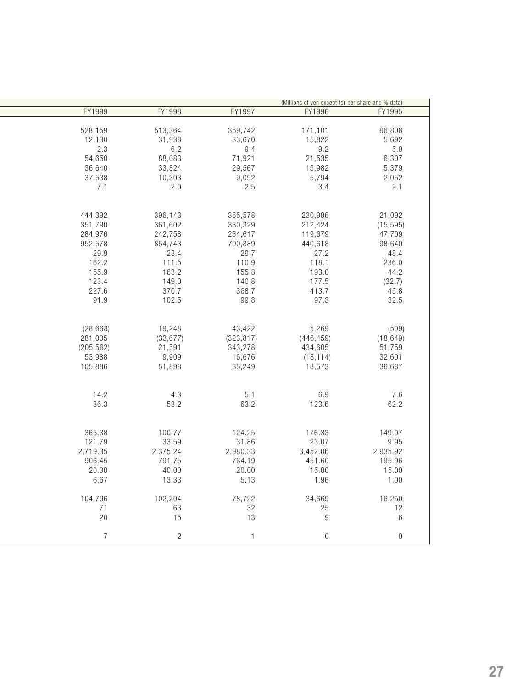|                |                |            | (Millions of yen except for per share and % data) |                  |
|----------------|----------------|------------|---------------------------------------------------|------------------|
| FY1999         | FY1998         | FY1997     | FY1996                                            | FY1995           |
|                |                |            |                                                   |                  |
| 528,159        | 513,364        | 359,742    | 171,101                                           | 96,808           |
| 12,130         | 31,938         | 33,670     | 15,822                                            | 5,692            |
| 2.3            | 6.2            | 9.4        | 9.2                                               | 5.9              |
| 54,650         | 88,083         | 71,921     | 21,535                                            | 6,307            |
| 36,640         | 33,824         | 29,567     | 15,982                                            | 5,379            |
| 37,538         | 10,303         | 9,092      | 5,794                                             | 2,052            |
| 7.1            | 2.0            | 2.5        | 3.4                                               | 2.1              |
|                |                |            |                                                   |                  |
|                |                |            |                                                   |                  |
| 444,392        | 396,143        | 365,578    | 230,996                                           | 21,092           |
| 351,790        | 361,602        | 330,329    | 212,424                                           | (15, 595)        |
|                |                |            |                                                   |                  |
| 284,976        | 242,758        | 234,617    | 119,679                                           | 47,709           |
| 952,578        | 854,743        | 790,889    | 440,618                                           | 98,640           |
| 29.9           | 28.4           | 29.7       | 27.2                                              | 48.4             |
| 162.2          | 111.5          | 110.9      | 118.1                                             | 236.0            |
| 155.9          | 163.2          | 155.8      | 193.0                                             | 44.2             |
| 123.4          | 149.0          | 140.8      | 177.5                                             | (32.7)           |
| 227.6          | 370.7          | 368.7      | 413.7                                             | 45.8             |
| 91.9           | 102.5          | 99.8       | 97.3                                              | 32.5             |
|                |                |            |                                                   |                  |
|                |                |            |                                                   |                  |
| (28, 668)      | 19,248         | 43,422     | 5,269                                             | (509)            |
| 281,005        | (33, 677)      | (323, 817) | (446, 459)                                        | (18, 649)        |
| (205, 562)     | 21,591         | 343,278    | 434,605                                           | 51,759           |
| 53,988         | 9,909          | 16,676     | (18, 114)                                         | 32,601           |
| 105,886        | 51,898         | 35,249     | 18,573                                            | 36,687           |
|                |                |            |                                                   |                  |
|                |                |            |                                                   |                  |
| 14.2           | 4.3            | 5.1        | 6.9                                               | 7.6              |
| 36.3           | 53.2           | 63.2       | 123.6                                             | 62.2             |
|                |                |            |                                                   |                  |
|                |                |            |                                                   |                  |
| 365.38         | 100.77         | 124.25     | 176.33                                            | 149.07           |
| 121.79         | 33.59          | 31.86      | 23.07                                             | 9.95             |
| 2,719.35       | 2,375.24       | 2,980.33   | 3,452.06                                          | 2,935.92         |
| 906.45         | 791.75         | 764.19     | 451.60                                            | 195.96           |
| 20.00          | 40.00          | 20.00      | 15.00                                             | 15.00            |
| 6.67           | 13.33          | 5.13       | 1.96                                              | 1.00             |
|                |                |            |                                                   |                  |
| 104,796        | 102,204        | 78,722     | 34,669                                            | 16,250           |
| 71             | 63             | 32         | 25                                                | 12               |
| 20             | 15             | 13         | $9\,$                                             | $\,6\,$          |
|                |                |            |                                                   |                  |
| $\overline{7}$ | $\overline{c}$ | 1          | $\boldsymbol{0}$                                  | $\boldsymbol{0}$ |
|                |                |            |                                                   |                  |

ł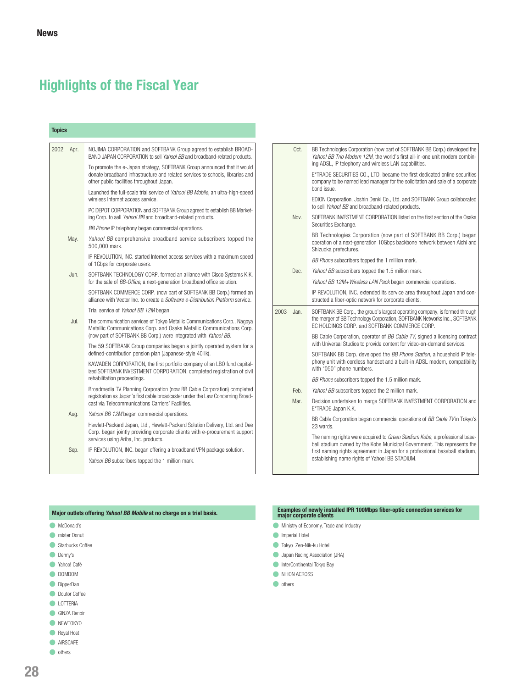# **Highlights of the Fiscal Year**

| 2002<br>Apr. | NOJIMA CORPORATION and SOFTBANK Group agreed to establish BROAD-<br>BAND JAPAN CORPORATION to sell Yahoo! BB and broadband-related products.                                                                          |
|--------------|-----------------------------------------------------------------------------------------------------------------------------------------------------------------------------------------------------------------------|
|              | To promote the e-Japan strategy, SOFTBANK Group announced that it would<br>donate broadband infrastructure and related services to schools, libraries and<br>other public facilities throughout Japan.                |
|              | Launched the full-scale trial service of Yahoo! BB Mobile, an ultra-high-speed<br>wireless Internet access service.                                                                                                   |
|              | PC DEPOT CORPORATION and SOFTBANK Group agreed to establish BB Market-<br>ing Corp. to sell Yahoo! BB and broadband-related products.                                                                                 |
|              | BB Phone IP telephony began commercial operations.                                                                                                                                                                    |
| May.         | Yahoo! BB comprehensive broadband service subscribers topped the<br>500,000 mark.                                                                                                                                     |
|              | IP REVOLUTION, INC. started Internet access services with a maximum speed<br>of 1 Gbps for corporate users.                                                                                                           |
| Jun.         | SOFTBANK TECHNOLOGY CORP. formed an alliance with Cisco Systems K.K.<br>for the sale of BB-Office, a next-generation broadband office solution.                                                                       |
|              | SOFTBANK COMMERCE CORP. (now part of SOFTBANK BB Corp.) formed an<br>alliance with Vector Inc. to create a Software e-Distribution Platform service.                                                                  |
|              | Trial service of Yahoo! BB 12M began.                                                                                                                                                                                 |
| Jul.         | The communication services of Tokyo Metallic Communications Corp., Nagoya<br>Metallic Communications Corp. and Osaka Metallic Communications Corp.<br>(now part of SOFTBANK BB Corp.) were integrated with Yahoo! BB. |
|              | The 59 SOFTBANK Group companies began a jointly operated system for a<br>defined-contribution pension plan (Japanese-style 401k).                                                                                     |
|              | KAWADEN CORPORATION, the first portfolio company of an LBO fund capital-<br>ized SOFTBANK INVESTMENT CORPORATION, completed registration of civil<br>rehabilitation proceedings.                                      |
|              | Broadmedia TV Planning Corporation (now BB Cable Corporation) completed<br>registration as Japan's first cable broadcaster under the Law Concerning Broad-<br>cast via Telecommunications Carriers' Facilities.       |
| Aug.         | Yahoo! BB 12M began commercial operations.                                                                                                                                                                            |
|              | Hewlett-Packard Japan, Ltd., Hewlett-Packard Solution Delivery, Ltd. and Dee<br>Corp. began jointly providing corporate clients with e-procurement support<br>services using Ariba, Inc. products.                    |
| Sep.         | IP REVOLUTION, INC. began offering a broadband VPN package solution.                                                                                                                                                  |
|              | Yahoo! BB subscribers topped the 1 million mark.                                                                                                                                                                      |

| Oct.         | BB Technologies Corporation (now part of SOFTBANK BB Corp.) developed the<br>Yahoo! BB Trio Modem 12M, the world's first all-in-one unit modem combin-<br>ing ADSL, IP telephony and wireless LAN capabilities.                                                                          |
|--------------|------------------------------------------------------------------------------------------------------------------------------------------------------------------------------------------------------------------------------------------------------------------------------------------|
|              | E*TRADE SECURITIES CO., LTD. became the first dedicated online securities<br>company to be named lead manager for the solicitation and sale of a corporate<br>bond issue.                                                                                                                |
|              | EDION Corporation, Joshin Denki Co., Ltd. and SOFTBANK Group collaborated<br>to sell Yahoo! BB and broadband-related products.                                                                                                                                                           |
| Nov.         | SOFTBANK INVESTMENT CORPORATION listed on the first section of the Osaka<br>Securities Exchange.                                                                                                                                                                                         |
|              | BB Technologies Corporation (now part of SOFTBANK BB Corp.) began<br>operation of a next-generation 10Gbps backbone network between Aichi and<br>Shizuoka prefectures.                                                                                                                   |
|              | BB Phone subscribers topped the 1 million mark.                                                                                                                                                                                                                                          |
| Dec.         | Yahoo! BB subscribers topped the 1.5 million mark.                                                                                                                                                                                                                                       |
|              | Yahoo! BB 12M+Wireless LAN Pack began commercial operations.                                                                                                                                                                                                                             |
|              | IP REVOLUTION, INC. extended its service area throughout Japan and con-<br>structed a fiber-optic network for corporate clients.                                                                                                                                                         |
| 2003<br>Jan. | SOFTBANK BB Corp., the group's largest operating company, is formed through<br>the merger of BB Technology Corporation, SOFTBANK Networks Inc., SOFTBANK<br>FC HOLDINGS CORP. and SOFTBANK COMMERCE CORP.                                                                                |
|              | BB Cable Corporation, operator of BB Cable TV, signed a licensing contract<br>with Universal Studios to provide content for video-on-demand services.                                                                                                                                    |
|              | SOFTBANK BB Corp. developed the BB Phone Station, a household IP tele-<br>phony unit with cordless handset and a built-in ADSL modem, compatibility<br>with "050" phone numbers.                                                                                                         |
|              | BB Phone subscribers topped the 1.5 million mark.                                                                                                                                                                                                                                        |
| Feb.         | Yahoo! BB subscribers topped the 2 million mark.                                                                                                                                                                                                                                         |
| Mar.         | Decision undertaken to merge SOFTBANK INVESTMENT CORPORATION and<br>E*TRADE Japan K.K.                                                                                                                                                                                                   |
|              | BB Cable Corporation began commercial operations of BB Cable TV in Tokyo's<br>23 wards.                                                                                                                                                                                                  |
|              | The naming rights were acquired to Green Stadium Kobe, a professional base-<br>ball stadium owned by the Kobe Municipal Government. This represents the<br>first naming rights agreement in Japan for a professional baseball stadium,<br>establishing name rights of Yahoo! BB STADIUM. |

### **Major outlets offering Yahoo! BB Mobile at no charge on a trial basis.**

- **C** McDonald's
- **O** mister Donut
- **Starbucks Coffee**
- **O** Denny's
- C Yahoo! Café
- DOMDOM
- **O** DipperDan
- **Doutor Coffee**
- **C** LOTTERIA
- GINZA Renoir
- **NEWTOKYO**
- Royal Host
- **AIRSCAFE**
- **o** others

# **Examples of newly installed IPR 100Mbps fiber-optic connection services for major corporate clients**

- **Ministry of Economy, Trade and Industry**
- **Imperial Hotel**
- Tokyo Zen-Nik-ku Hotel
- **Japan Racing Association (JRA)**
- **InterContinental Tokyo Bay**
- NIHON ACROSS
- **o** others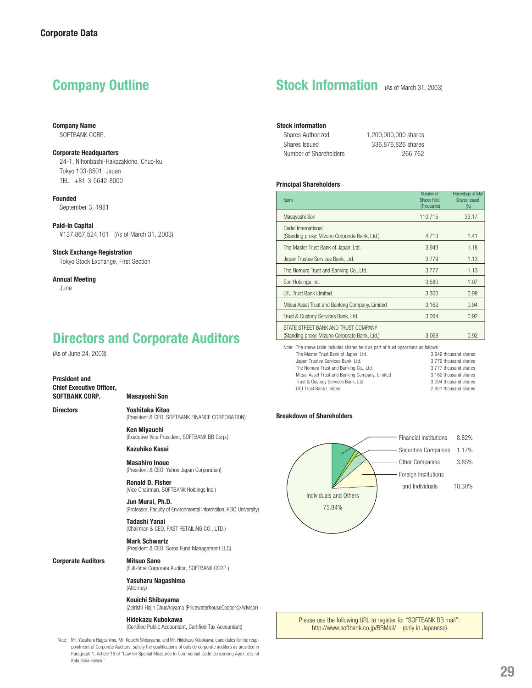**Company Name** SOFTBANK CORP.

#### **Corporate Headquarters**

24-1, Nihonbashi-Hakozakicho, Chuo-ku, Tokyo 103-8501, Japan TEL: +81-3-5642-8000

**Founded** September 3, 1981

**Paid-in Capital** ¥137,867,524,101 (As of March 31, 2003)

#### **Stock Exchange Registration**

Tokyo Stock Exchange, First Section

#### **Annual Meeting**

June

# **Directors and Corporate Auditors**

(As of June 24, 2003)

#### **President and Chief Executive Officer, SOFTBANK CORP. Masayoshi Son**

**Directors Yoshitaka Kitao** (President & CEO, SOFTBANK FINANCE CORPORATION)

> **Ken Miyauchi** (Executive Vice President, SOFTBANK BB Corp.)

**Kazuhiko Kasai**

**Masahiro Inoue** (President & CEO, Yahoo Japan Corporation)

**Ronald D. Fisher** (Vice Chairman, SOFTBANK Holdings Inc.)

**Jun Murai, Ph.D.** (Professor, Faculty of Environmental Information, KEIO University)

**Tadashi Yanai** (Chairman & CEO, FAST RETAILING CO., LTD.)

**Mark Schwartz** (President & CEO, Soros Fund Management LLC)

**Corporate Auditors Mitsuo Sano** (Full-time Corporate Auditor, SOFTBANK CORP.)

> **Yasuharu Nagashima** (Attorney)

**Kouichi Shibayama** (Zeirishi-Hojin ChuoAoyama (PricewaterhouseCoopers)/Advisor)

#### **Hidekazu Kubokawa**

(Certified Public Accountant, Certified Tax Accountant)

Note: Mr. Yasuharu Nagashima, Mr. Kouichi Shibayama, and Mr. Hidekazu Kubokawa, candidates for the reappointment of Corporate Auditors, satisfy the qualifications of outside corporate auditors as provided in Paragraph 1, Article 18 of "Law for Special Measures to Commercial Code Concerning Audit, etc. of Kabushiki-kaisya."

# **Company Outline Stock Information** (As of March 31, 2003)

### **Stock Information**

| Shares Authorized      | 1.200.000.000 shares |
|------------------------|----------------------|
| Shares Issued          | 336,876,826 shares   |
| Number of Shareholders | 266.762              |

#### **Principal Shareholders**

| <b>Name</b>                                                                          | Number of<br>Shares Held<br>(Thousands) | Percentage of Total<br>Shares Issued<br>(%) |
|--------------------------------------------------------------------------------------|-----------------------------------------|---------------------------------------------|
| Masayoshi Son                                                                        | 110,715                                 | 33.17                                       |
| Cedel International<br>(Standing proxy: Mizuho Corporate Bank, Ltd.)                 | 4,713                                   | 1.41                                        |
| The Master Trust Bank of Japan, Ltd.                                                 | 3.949                                   | 1.18                                        |
| Japan Trustee Services Bank, Ltd.                                                    | 3,779                                   | 1.13                                        |
| The Nomura Trust and Banking Co., Ltd.                                               | 3,777                                   | 1.13                                        |
| Son Holdings Inc.                                                                    | 3.580                                   | 1.07                                        |
| <b>UFJ Trust Bank Limited</b>                                                        | 3.300                                   | 0.98                                        |
| Mitsui Asset Trust and Banking Company, Limited                                      | 3,162                                   | 0.94                                        |
| Trust & Custody Services Bank, Ltd.                                                  | 3,094                                   | 0.92                                        |
| STATE STREET BANK AND TRUST COMPANY<br>(Standing proxy: Mizuho Corporate Bank, Ltd.) | 3.068                                   | 0.92                                        |

Note: The above table includes shares held as part of trust operations as follows:<br>The Master Trust Bank of Japan, I td. 3949 thousand shares The Master Trust Bank of Japan, Ltd.

Japan Trustee Services Bank, Ltd. 3,779 thousand shares The Nomura Trust and Banking Co., Ltd. 3,777 thousand shares Mitsui Asset Trust and Banking Company, Limited 3,162 thousand shares Trust & Custody Services Bank, Ltd. 3,094 thousand shares<br>1. 3,094 thousand shares 1. 3,094 thousand shares UFJ Trust Bank Limited

#### **Breakdown of Shareholders**



Please use the following URL to register for "SOFTBANK BB mail": http://www.softbank.co.jp/BBMail/ (only in Japanese)